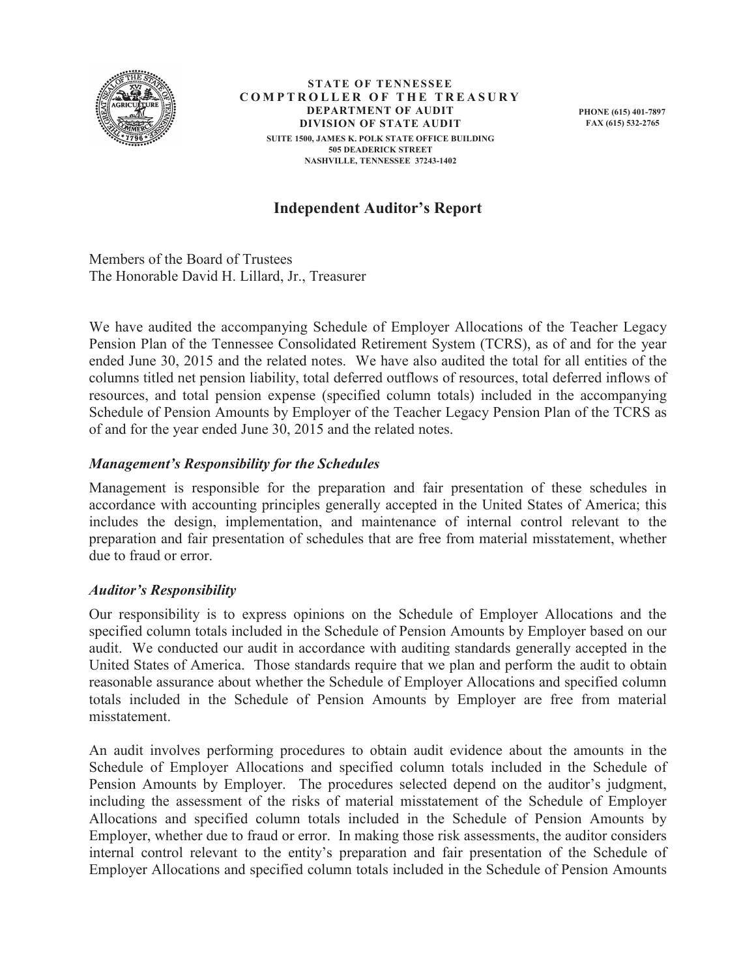

**STATE OF TENNESSEE C O M P T R O L L E R O F T H E T R E A S U R Y DEPARTMENT OF AUDIT DIVISION OF STATE AUDIT SUITE 1500, JAMES K. POLK STATE OFFICE BUILDING 505 DEADERICK STREET NASHVILLE, TENNESSEE 37243-1402** 

**PHONE (615) 401-7897 FAX (615) 532-2765** 

# **Independent Auditor's Report**

Members of the Board of Trustees The Honorable David H. Lillard, Jr., Treasurer

We have audited the accompanying Schedule of Employer Allocations of the Teacher Legacy Pension Plan of the Tennessee Consolidated Retirement System (TCRS), as of and for the year ended June 30, 2015 and the related notes. We have also audited the total for all entities of the columns titled net pension liability, total deferred outflows of resources, total deferred inflows of resources, and total pension expense (specified column totals) included in the accompanying Schedule of Pension Amounts by Employer of the Teacher Legacy Pension Plan of the TCRS as of and for the year ended June 30, 2015 and the related notes.

# *Management's Responsibility for the Schedules*

Management is responsible for the preparation and fair presentation of these schedules in accordance with accounting principles generally accepted in the United States of America; this includes the design, implementation, and maintenance of internal control relevant to the preparation and fair presentation of schedules that are free from material misstatement, whether due to fraud or error.

# *Auditor's Responsibility*

Our responsibility is to express opinions on the Schedule of Employer Allocations and the specified column totals included in the Schedule of Pension Amounts by Employer based on our audit. We conducted our audit in accordance with auditing standards generally accepted in the United States of America. Those standards require that we plan and perform the audit to obtain reasonable assurance about whether the Schedule of Employer Allocations and specified column totals included in the Schedule of Pension Amounts by Employer are free from material misstatement.

An audit involves performing procedures to obtain audit evidence about the amounts in the Schedule of Employer Allocations and specified column totals included in the Schedule of Pension Amounts by Employer. The procedures selected depend on the auditor's judgment, including the assessment of the risks of material misstatement of the Schedule of Employer Allocations and specified column totals included in the Schedule of Pension Amounts by Employer, whether due to fraud or error. In making those risk assessments, the auditor considers internal control relevant to the entity's preparation and fair presentation of the Schedule of Employer Allocations and specified column totals included in the Schedule of Pension Amounts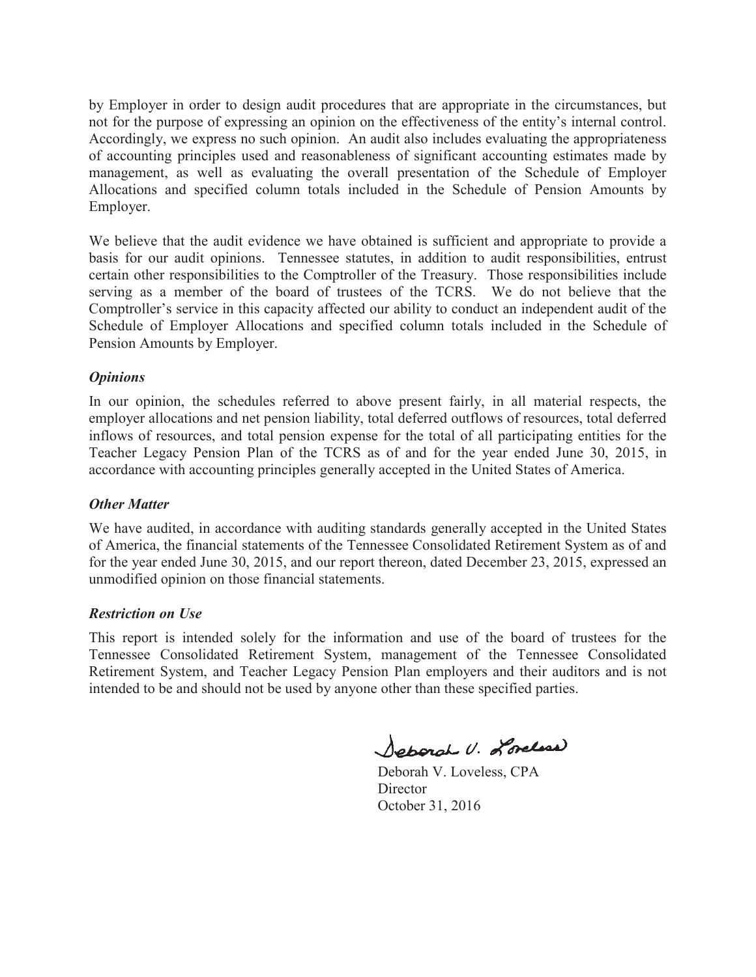by Employer in order to design audit procedures that are appropriate in the circumstances, but not for the purpose of expressing an opinion on the effectiveness of the entity's internal control. Accordingly, we express no such opinion. An audit also includes evaluating the appropriateness of accounting principles used and reasonableness of significant accounting estimates made by management, as well as evaluating the overall presentation of the Schedule of Employer Allocations and specified column totals included in the Schedule of Pension Amounts by Employer.

We believe that the audit evidence we have obtained is sufficient and appropriate to provide a basis for our audit opinions. Tennessee statutes, in addition to audit responsibilities, entrust certain other responsibilities to the Comptroller of the Treasury. Those responsibilities include serving as a member of the board of trustees of the TCRS. We do not believe that the Comptroller's service in this capacity affected our ability to conduct an independent audit of the Schedule of Employer Allocations and specified column totals included in the Schedule of Pension Amounts by Employer.

## *Opinions*

In our opinion, the schedules referred to above present fairly, in all material respects, the employer allocations and net pension liability, total deferred outflows of resources, total deferred inflows of resources, and total pension expense for the total of all participating entities for the Teacher Legacy Pension Plan of the TCRS as of and for the year ended June 30, 2015, in accordance with accounting principles generally accepted in the United States of America.

## *Other Matter*

We have audited, in accordance with auditing standards generally accepted in the United States of America, the financial statements of the Tennessee Consolidated Retirement System as of and for the year ended June 30, 2015, and our report thereon, dated December 23, 2015, expressed an unmodified opinion on those financial statements.

## *Restriction on Use*

This report is intended solely for the information and use of the board of trustees for the Tennessee Consolidated Retirement System, management of the Tennessee Consolidated Retirement System, and Teacher Legacy Pension Plan employers and their auditors and is not intended to be and should not be used by anyone other than these specified parties.

Separal U. Lordess)

Deborah V. Loveless, CPA **Director** October 31, 2016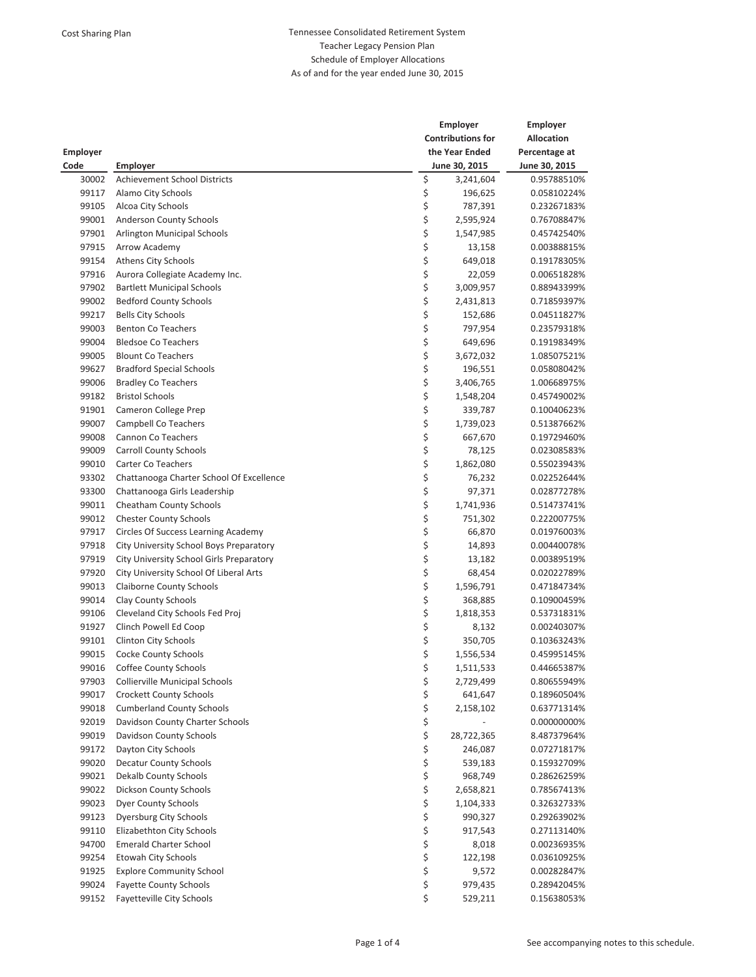|          |                                          | Employer                   | <b>Employer</b>   |
|----------|------------------------------------------|----------------------------|-------------------|
|          |                                          | <b>Contributions for</b>   | <b>Allocation</b> |
| Employer |                                          | the Year Ended             | Percentage at     |
| Code     | Employer                                 | June 30, 2015              | June 30, 2015     |
| 30002    | <b>Achievement School Districts</b>      | \$<br>3,241,604            | 0.95788510%       |
| 99117    | Alamo City Schools                       | \$<br>196,625              | 0.05810224%       |
| 99105    | Alcoa City Schools                       | \$<br>787,391              | 0.23267183%       |
| 99001    | <b>Anderson County Schools</b>           | \$<br>2,595,924            | 0.76708847%       |
| 97901    | <b>Arlington Municipal Schools</b>       | \$<br>1,547,985            | 0.45742540%       |
| 97915    | Arrow Academy                            | \$<br>13,158               | 0.00388815%       |
| 99154    | Athens City Schools                      | \$<br>649,018              | 0.19178305%       |
| 97916    | Aurora Collegiate Academy Inc.           | \$<br>22,059               | 0.00651828%       |
| 97902    |                                          | \$<br>3,009,957            | 0.88943399%       |
|          | <b>Bartlett Municipal Schools</b>        |                            |                   |
| 99002    | <b>Bedford County Schools</b>            | \$<br>2,431,813            | 0.71859397%       |
| 99217    | <b>Bells City Schools</b>                | \$<br>152,686              | 0.04511827%       |
| 99003    | <b>Benton Co Teachers</b>                | \$<br>797,954              | 0.23579318%       |
| 99004    | <b>Bledsoe Co Teachers</b>               | \$<br>649,696              | 0.19198349%       |
| 99005    | <b>Blount Co Teachers</b>                | \$<br>3,672,032            | 1.08507521%       |
| 99627    | <b>Bradford Special Schools</b>          | \$<br>196,551              | 0.05808042%       |
| 99006    | <b>Bradley Co Teachers</b>               | \$<br>3,406,765            | 1.00668975%       |
| 99182    | <b>Bristol Schools</b>                   | \$<br>1,548,204            | 0.45749002%       |
| 91901    | Cameron College Prep                     | \$<br>339,787              | 0.10040623%       |
| 99007    | Campbell Co Teachers                     | \$<br>1,739,023            | 0.51387662%       |
| 99008    | Cannon Co Teachers                       | \$<br>667,670              | 0.19729460%       |
| 99009    | <b>Carroll County Schools</b>            | \$<br>78,125               | 0.02308583%       |
| 99010    | <b>Carter Co Teachers</b>                | \$<br>1,862,080            | 0.55023943%       |
| 93302    | Chattanooga Charter School Of Excellence | \$<br>76,232               | 0.02252644%       |
| 93300    | Chattanooga Girls Leadership             | \$<br>97,371               | 0.02877278%       |
| 99011    | Cheatham County Schools                  | \$<br>1,741,936            | 0.51473741%       |
| 99012    | <b>Chester County Schools</b>            | \$<br>751,302              | 0.22200775%       |
| 97917    | Circles Of Success Learning Academy      | \$<br>66,870               | 0.01976003%       |
| 97918    | City University School Boys Preparatory  | \$<br>14,893               | 0.00440078%       |
| 97919    | City University School Girls Preparatory | \$<br>13,182               | 0.00389519%       |
| 97920    | City University School Of Liberal Arts   | \$<br>68,454               | 0.02022789%       |
| 99013    | <b>Claiborne County Schools</b>          | \$<br>1,596,791            | 0.47184734%       |
| 99014    | Clay County Schools                      | \$<br>368,885              | 0.10900459%       |
| 99106    | Cleveland City Schools Fed Proj          | \$<br>1,818,353            | 0.53731831%       |
| 91927    | Clinch Powell Ed Coop                    | \$<br>8,132                | 0.00240307%       |
| 99101    | Clinton City Schools                     | \$<br>350,705              | 0.10363243%       |
| 99015    | Cocke County Schools                     | \$<br>1,556,534            | 0.45995145%       |
| 99016    | <b>Coffee County Schools</b>             | \$<br>1,511,533            | 0.44665387%       |
| 97903    | Collierville Municipal Schools           | \$<br>2,729,499            | 0.80655949%       |
| 99017    | <b>Crockett County Schools</b>           | \$<br>641,647              | 0.18960504%       |
| 99018    | <b>Cumberland County Schools</b>         | \$<br>2,158,102            | 0.63771314%       |
| 92019    | Davidson County Charter Schools          | \$                         | 0.00000000%       |
| 99019    | Davidson County Schools                  | \$<br>28,722,365           | 8.48737964%       |
| 99172    | Dayton City Schools                      | \$<br>246,087              | 0.07271817%       |
| 99020    | <b>Decatur County Schools</b>            | \$<br>539,183              | 0.15932709%       |
| 99021    | Dekalb County Schools                    | \$<br>968,749              | 0.28626259%       |
| 99022    | <b>Dickson County Schools</b>            | \$<br>2,658,821            | 0.78567413%       |
| 99023    | Dyer County Schools                      | \$                         | 0.32632733%       |
| 99123    | Dyersburg City Schools                   | \$<br>1,104,333<br>990,327 |                   |
|          |                                          | \$                         | 0.29263902%       |
| 99110    | Elizabethton City Schools                | 917,543                    | 0.27113140%       |
| 94700    | <b>Emerald Charter School</b>            | \$<br>8,018                | 0.00236935%       |
| 99254    | Etowah City Schools                      | \$<br>122,198              | 0.03610925%       |
| 91925    | <b>Explore Community School</b>          | \$<br>9,572                | 0.00282847%       |
| 99024    | <b>Fayette County Schools</b>            | \$<br>979,435              | 0.28942045%       |
| 99152    | <b>Fayetteville City Schools</b>         | \$<br>529,211              | 0.15638053%       |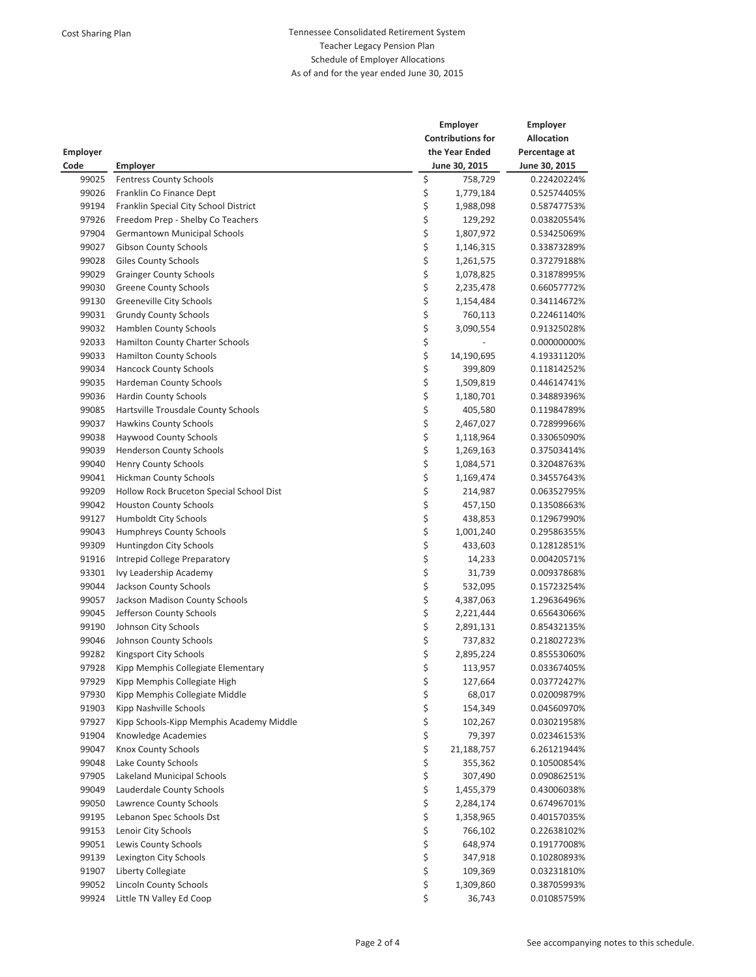|          |                                          |          | Employer                 | <b>Employer</b>   |
|----------|------------------------------------------|----------|--------------------------|-------------------|
|          |                                          |          | <b>Contributions for</b> | <b>Allocation</b> |
| Employer |                                          |          | the Year Ended           | Percentage at     |
| Code     | Employer                                 |          | June 30, 2015            | June 30, 2015     |
| 99025    | <b>Fentress County Schools</b>           | \$       | 758,729                  | 0.22420224%       |
| 99026    | Franklin Co Finance Dept                 | \$       | 1,779,184                | 0.52574405%       |
| 99194    | Franklin Special City School District    | \$       | 1,988,098                | 0.58747753%       |
| 97926    | Freedom Prep - Shelby Co Teachers        | \$       | 129,292                  | 0.03820554%       |
| 97904    | <b>Germantown Municipal Schools</b>      | \$       | 1,807,972                | 0.53425069%       |
| 99027    | <b>Gibson County Schools</b>             | \$       | 1,146,315                | 0.33873289%       |
| 99028    | Giles County Schools                     | \$       | 1,261,575                | 0.37279188%       |
| 99029    | <b>Grainger County Schools</b>           | \$       | 1,078,825                | 0.31878995%       |
| 99030    | <b>Greene County Schools</b>             | \$       | 2,235,478                | 0.66057772%       |
| 99130    | Greeneville City Schools                 | \$       | 1,154,484                | 0.34114672%       |
| 99031    | <b>Grundy County Schools</b>             | \$       | 760,113                  | 0.22461140%       |
| 99032    | Hamblen County Schools                   | \$       | 3,090,554                | 0.91325028%       |
| 92033    | Hamilton County Charter Schools          | \$       |                          | 0.00000000%       |
| 99033    | <b>Hamilton County Schools</b>           | \$       | 14,190,695               | 4.19331120%       |
| 99034    | <b>Hancock County Schools</b>            | \$       | 399,809                  | 0.11814252%       |
| 99035    | <b>Hardeman County Schools</b>           | \$       | 1,509,819                | 0.44614741%       |
| 99036    | <b>Hardin County Schools</b>             | \$       | 1,180,701                | 0.34889396%       |
| 99085    | Hartsville Trousdale County Schools      | \$       | 405,580                  | 0.11984789%       |
| 99037    | <b>Hawkins County Schools</b>            | \$       | 2,467,027                | 0.72899966%       |
| 99038    |                                          | \$       |                          | 0.33065090%       |
| 99039    | Haywood County Schools                   | \$       | 1,118,964<br>1,269,163   |                   |
|          | <b>Henderson County Schools</b>          |          |                          | 0.37503414%       |
| 99040    | <b>Henry County Schools</b>              | \$       | 1,084,571                | 0.32048763%       |
| 99041    | <b>Hickman County Schools</b>            | \$<br>\$ | 1,169,474                | 0.34557643%       |
| 99209    | Hollow Rock Bruceton Special School Dist |          | 214,987                  | 0.06352795%       |
| 99042    | <b>Houston County Schools</b>            | \$       | 457,150                  | 0.13508663%       |
| 99127    | Humboldt City Schools                    | \$       | 438,853                  | 0.12967990%       |
| 99043    | Humphreys County Schools                 | \$       | 1,001,240                | 0.29586355%       |
| 99309    | Huntingdon City Schools                  | \$       | 433,603                  | 0.12812851%       |
| 91916    | Intrepid College Preparatory             | \$       | 14,233                   | 0.00420571%       |
| 93301    | Ivy Leadership Academy                   | \$       | 31,739                   | 0.00937868%       |
| 99044    | Jackson County Schools                   | \$       | 532,095                  | 0.15723254%       |
| 99057    | Jackson Madison County Schools           | \$       | 4,387,063                | 1.29636496%       |
| 99045    | Jefferson County Schools                 | \$       | 2,221,444                | 0.65643066%       |
| 99190    | Johnson City Schools                     | \$       | 2,891,131                | 0.85432135%       |
| 99046    | Johnson County Schools                   | \$       | 737,832                  | 0.21802723%       |
| 99282    | Kingsport City Schools                   | \$       | 2,895,224                | 0.85553060%       |
| 97928    | Kipp Memphis Collegiate Elementary       | \$       | 113,957                  | 0.03367405%       |
| 97929    | Kipp Memphis Collegiate High             | \$       | 127,664                  | 0.03772427%       |
| 97930    | Kipp Memphis Collegiate Middle           | \$       | 68,017                   | 0.02009879%       |
| 91903    | Kipp Nashville Schools                   | \$       | 154,349                  | 0.04560970%       |
| 97927    | Kipp Schools-Kipp Memphis Academy Middle | \$       | 102,267                  | 0.03021958%       |
| 91904    | Knowledge Academies                      | \$       | 79,397                   | 0.02346153%       |
| 99047    | Knox County Schools                      | \$       | 21,188,757               | 6.26121944%       |
| 99048    | Lake County Schools                      | \$       | 355,362                  | 0.10500854%       |
| 97905    | Lakeland Municipal Schools               | \$       | 307,490                  | 0.09086251%       |
| 99049    | Lauderdale County Schools                | \$       | 1,455,379                | 0.43006038%       |
| 99050    | Lawrence County Schools                  | \$       | 2,284,174                | 0.67496701%       |
| 99195    | Lebanon Spec Schools Dst                 | \$       | 1,358,965                | 0.40157035%       |
| 99153    | Lenoir City Schools                      | \$       | 766,102                  | 0.22638102%       |
| 99051    | Lewis County Schools                     | \$       | 648,974                  | 0.19177008%       |
| 99139    | Lexington City Schools                   | \$       | 347,918                  | 0.10280893%       |
| 91907    | Liberty Collegiate                       | \$       | 109,369                  | 0.03231810%       |
| 99052    | Lincoln County Schools                   | \$       | 1,309,860                | 0.38705993%       |
| 99924    | Little TN Valley Ed Coop                 | \$       | 36,743                   | 0.01085759%       |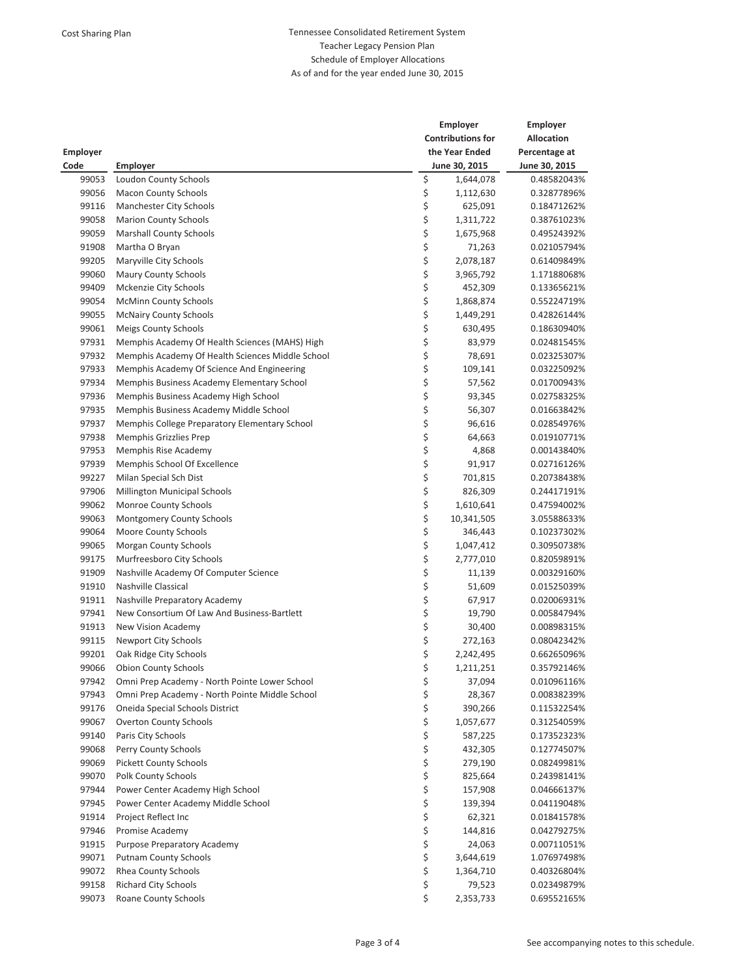|          |                                                  | <b>Employer</b>           | <b>Employer</b>   |
|----------|--------------------------------------------------|---------------------------|-------------------|
|          |                                                  | <b>Contributions for</b>  | <b>Allocation</b> |
| Employer |                                                  | the Year Ended            | Percentage at     |
| Code     | Employer                                         | June 30, 2015             | June 30, 2015     |
| 99053    | <b>Loudon County Schools</b>                     | \$<br>1,644,078           | 0.48582043%       |
| 99056    | <b>Macon County Schools</b>                      | \$<br>1,112,630           | 0.32877896%       |
| 99116    | Manchester City Schools                          | \$<br>625,091             | 0.18471262%       |
| 99058    | <b>Marion County Schools</b>                     | \$<br>1,311,722           | 0.38761023%       |
| 99059    | <b>Marshall County Schools</b>                   | \$                        | 0.49524392%       |
| 91908    | Martha O Bryan                                   | \$<br>1,675,968<br>71,263 | 0.02105794%       |
| 99205    | Maryville City Schools                           | \$                        |                   |
|          |                                                  | 2,078,187                 | 0.61409849%       |
| 99060    | <b>Maury County Schools</b>                      | \$<br>3,965,792           | 1.17188068%       |
| 99409    | Mckenzie City Schools                            | \$<br>452,309             | 0.13365621%       |
| 99054    | <b>McMinn County Schools</b>                     | \$<br>1,868,874           | 0.55224719%       |
| 99055    | <b>McNairy County Schools</b>                    | \$<br>1,449,291           | 0.42826144%       |
| 99061    | Meigs County Schools                             | \$<br>630,495             | 0.18630940%       |
| 97931    | Memphis Academy Of Health Sciences (MAHS) High   | \$<br>83,979              | 0.02481545%       |
| 97932    | Memphis Academy Of Health Sciences Middle School | \$<br>78,691              | 0.02325307%       |
| 97933    | Memphis Academy Of Science And Engineering       | \$<br>109,141             | 0.03225092%       |
| 97934    | Memphis Business Academy Elementary School       | \$<br>57,562              | 0.01700943%       |
| 97936    | Memphis Business Academy High School             | \$<br>93,345              | 0.02758325%       |
| 97935    | Memphis Business Academy Middle School           | \$<br>56,307              | 0.01663842%       |
| 97937    | Memphis College Preparatory Elementary School    | \$<br>96,616              | 0.02854976%       |
| 97938    | Memphis Grizzlies Prep                           | \$<br>64,663              | 0.01910771%       |
| 97953    | Memphis Rise Academy                             | \$<br>4,868               | 0.00143840%       |
| 97939    | Memphis School Of Excellence                     | \$<br>91,917              | 0.02716126%       |
| 99227    | Milan Special Sch Dist                           | \$<br>701,815             | 0.20738438%       |
| 97906    | Millington Municipal Schools                     | \$<br>826,309             | 0.24417191%       |
| 99062    | <b>Monroe County Schools</b>                     | \$<br>1,610,641           | 0.47594002%       |
| 99063    | Montgomery County Schools                        | \$<br>10,341,505          | 3.05588633%       |
| 99064    | Moore County Schools                             | \$<br>346,443             | 0.10237302%       |
| 99065    | <b>Morgan County Schools</b>                     | \$<br>1,047,412           | 0.30950738%       |
| 99175    | Murfreesboro City Schools                        | \$<br>2,777,010           | 0.82059891%       |
| 91909    | Nashville Academy Of Computer Science            | \$<br>11,139              | 0.00329160%       |
| 91910    | Nashville Classical                              | \$<br>51,609              | 0.01525039%       |
| 91911    | Nashville Preparatory Academy                    | \$<br>67,917              | 0.02006931%       |
| 97941    | New Consortium Of Law And Business-Bartlett      | \$<br>19,790              | 0.00584794%       |
| 91913    | New Vision Academy                               | \$<br>30,400              | 0.00898315%       |
| 99115    | Newport City Schools                             | \$<br>272,163             | 0.08042342%       |
| 99201    | Oak Ridge City Schools                           | \$<br>2,242,495           | 0.66265096%       |
| 99066    | <b>Obion County Schools</b>                      | \$<br>1,211,251           | 0.35792146%       |
| 97942    | Omni Prep Academy - North Pointe Lower School    | \$<br>37,094              | 0.01096116%       |
| 97943    | Omni Prep Academy - North Pointe Middle School   | \$<br>28,367              | 0.00838239%       |
| 99176    | Oneida Special Schools District                  | \$<br>390,266             | 0.11532254%       |
| 99067    | <b>Overton County Schools</b>                    | \$<br>1,057,677           | 0.31254059%       |
| 99140    | Paris City Schools                               | \$<br>587,225             | 0.17352323%       |
| 99068    | Perry County Schools                             | \$<br>432,305             | 0.12774507%       |
| 99069    | <b>Pickett County Schools</b>                    | \$<br>279,190             | 0.08249981%       |
| 99070    | Polk County Schools                              | \$<br>825,664             | 0.24398141%       |
| 97944    | Power Center Academy High School                 | \$<br>157,908             | 0.04666137%       |
| 97945    | Power Center Academy Middle School               | \$<br>139,394             |                   |
|          |                                                  | \$                        | 0.04119048%       |
| 91914    | Project Reflect Inc                              | \$<br>62,321              | 0.01841578%       |
| 97946    | Promise Academy                                  | 144,816                   | 0.04279275%       |
| 91915    | Purpose Preparatory Academy                      | \$<br>24,063              | 0.00711051%       |
| 99071    | <b>Putnam County Schools</b>                     | \$<br>3,644,619           | 1.07697498%       |
| 99072    | <b>Rhea County Schools</b>                       | \$<br>1,364,710           | 0.40326804%       |
| 99158    | <b>Richard City Schools</b>                      | \$<br>79,523              | 0.02349879%       |
| 99073    | Roane County Schools                             | \$<br>2,353,733           | 0.69552165%       |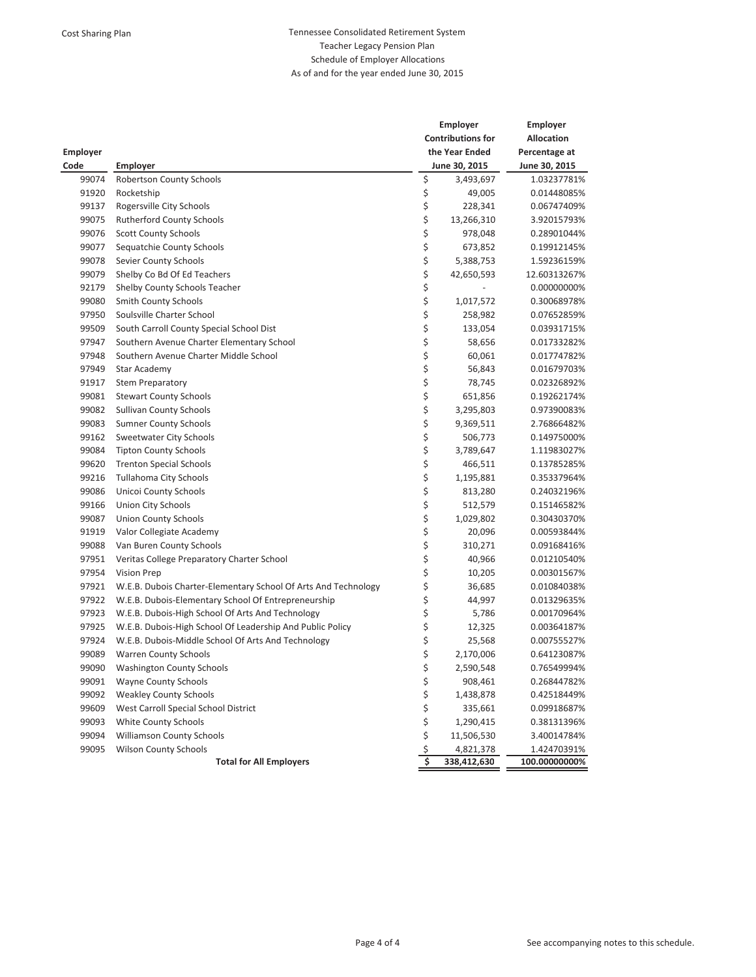|                 |                                                                | Employer                 | <b>Employer</b>   |
|-----------------|----------------------------------------------------------------|--------------------------|-------------------|
|                 |                                                                | <b>Contributions for</b> | <b>Allocation</b> |
| <b>Employer</b> |                                                                | the Year Ended           | Percentage at     |
| Code            | <b>Employer</b>                                                | June 30, 2015            | June 30, 2015     |
| 99074           | <b>Robertson County Schools</b>                                | \$<br>3,493,697          | 1.03237781%       |
| 91920           | Rocketship                                                     | \$<br>49,005             | 0.01448085%       |
| 99137           | Rogersville City Schools                                       | \$<br>228,341            | 0.06747409%       |
| 99075           | <b>Rutherford County Schools</b>                               | \$<br>13,266,310         | 3.92015793%       |
| 99076           | <b>Scott County Schools</b>                                    | \$<br>978,048            | 0.28901044%       |
| 99077           | Sequatchie County Schools                                      | \$<br>673,852            | 0.19912145%       |
| 99078           | Sevier County Schools                                          | \$<br>5,388,753          | 1.59236159%       |
| 99079           | Shelby Co Bd Of Ed Teachers                                    | \$<br>42,650,593         | 12.60313267%      |
| 92179           | Shelby County Schools Teacher                                  | \$                       | 0.00000000%       |
| 99080           | <b>Smith County Schools</b>                                    | \$<br>1,017,572          | 0.30068978%       |
| 97950           | Soulsville Charter School                                      | \$<br>258,982            | 0.07652859%       |
| 99509           | South Carroll County Special School Dist                       | \$<br>133,054            | 0.03931715%       |
| 97947           | Southern Avenue Charter Elementary School                      | \$<br>58,656             | 0.01733282%       |
| 97948           | Southern Avenue Charter Middle School                          | \$<br>60,061             | 0.01774782%       |
| 97949           | Star Academy                                                   | \$<br>56,843             | 0.01679703%       |
| 91917           | <b>Stem Preparatory</b>                                        | \$<br>78,745             | 0.02326892%       |
| 99081           | <b>Stewart County Schools</b>                                  | \$<br>651,856            | 0.19262174%       |
| 99082           | <b>Sullivan County Schools</b>                                 | \$<br>3,295,803          | 0.97390083%       |
| 99083           | <b>Sumner County Schools</b>                                   | \$<br>9,369,511          | 2.76866482%       |
| 99162           | Sweetwater City Schools                                        | \$<br>506,773            | 0.14975000%       |
| 99084           | <b>Tipton County Schools</b>                                   | \$<br>3,789,647          | 1.11983027%       |
| 99620           | <b>Trenton Special Schools</b>                                 | \$<br>466,511            | 0.13785285%       |
| 99216           | <b>Tullahoma City Schools</b>                                  | \$<br>1,195,881          | 0.35337964%       |
| 99086           | Unicoi County Schools                                          | \$<br>813,280            | 0.24032196%       |
| 99166           | <b>Union City Schools</b>                                      | \$<br>512,579            | 0.15146582%       |
| 99087           | <b>Union County Schools</b>                                    | \$<br>1,029,802          | 0.30430370%       |
| 91919           | Valor Collegiate Academy                                       | \$<br>20,096             | 0.00593844%       |
| 99088           | Van Buren County Schools                                       | \$<br>310,271            | 0.09168416%       |
| 97951           | Veritas College Preparatory Charter School                     | \$<br>40,966             | 0.01210540%       |
| 97954           | <b>Vision Prep</b>                                             | \$<br>10,205             | 0.00301567%       |
| 97921           | W.E.B. Dubois Charter-Elementary School Of Arts And Technology | \$<br>36,685             | 0.01084038%       |
| 97922           | W.E.B. Dubois-Elementary School Of Entrepreneurship            | \$<br>44,997             | 0.01329635%       |
| 97923           | W.E.B. Dubois-High School Of Arts And Technology               | \$<br>5,786              | 0.00170964%       |
| 97925           | W.E.B. Dubois-High School Of Leadership And Public Policy      | \$<br>12,325             | 0.00364187%       |
| 97924           | W.E.B. Dubois-Middle School Of Arts And Technology             | \$<br>25,568             | 0.00755527%       |
| 99089           | Warren County Schools                                          | \$<br>2,170,006          | 0.64123087%       |
| 99090           | <b>Washington County Schools</b>                               | \$<br>2,590,548          | 0.76549994%       |
| 99091           | Wayne County Schools                                           | \$<br>908,461            | 0.26844782%       |
| 99092           | <b>Weakley County Schools</b>                                  | \$<br>1,438,878          | 0.42518449%       |
| 99609           | West Carroll Special School District                           | \$<br>335,661            | 0.09918687%       |
| 99093           | White County Schools                                           | \$<br>1,290,415          | 0.38131396%       |
| 99094           | Williamson County Schools                                      | \$<br>11,506,530         | 3.40014784%       |
| 99095           | <b>Wilson County Schools</b>                                   | \$<br>4,821,378          | 1.42470391%       |
|                 | <b>Total for All Employers</b>                                 | \$<br>338,412,630        | 100.00000000%     |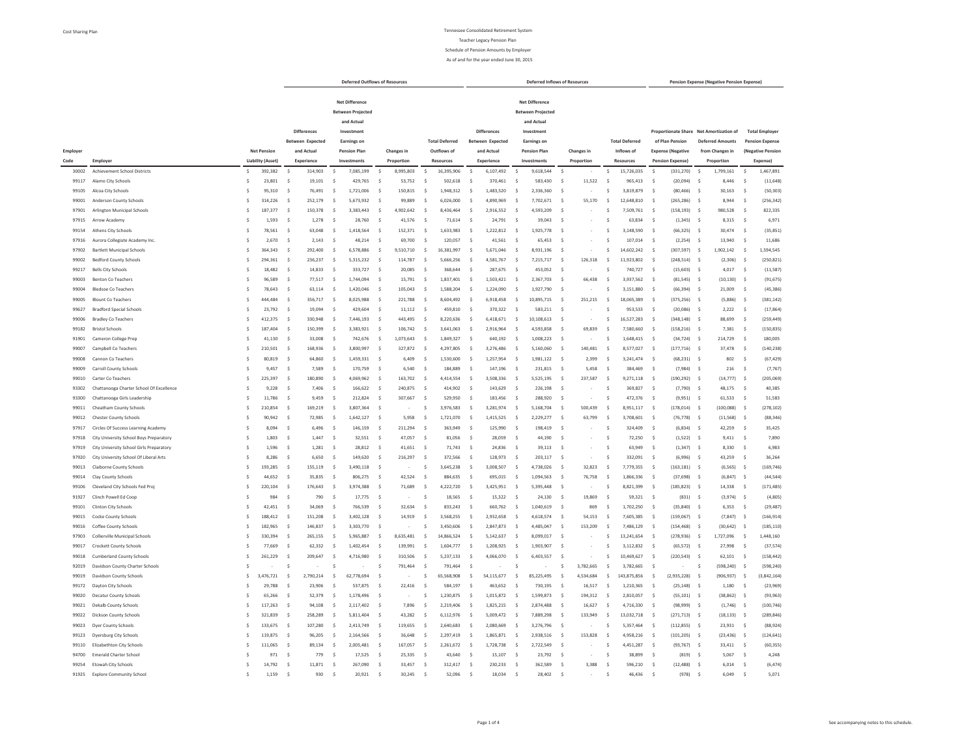Teacher Legacy Pension Plan

#### Schedule of Pension Amounts by Employer

|                |                                                                                     |                          | <b>Deferred Outflows of Resources</b> |                         |                          |                          |                      |                  |                          |                       |                          |                         | <b>Deferred Inflows of Resources</b> |                          |              | <b>Pension Expense (Negative Pension Expense)</b> |                          |                       |                    |                          |                    |                         |                          |                        |
|----------------|-------------------------------------------------------------------------------------|--------------------------|---------------------------------------|-------------------------|--------------------------|--------------------------|----------------------|------------------|--------------------------|-----------------------|--------------------------|-------------------------|--------------------------------------|--------------------------|--------------|---------------------------------------------------|--------------------------|-----------------------|--------------------|--------------------------|--------------------|-------------------------|--------------------------|------------------------|
|                |                                                                                     |                          |                                       |                         |                          |                          |                      |                  |                          |                       |                          |                         |                                      |                          |              |                                                   |                          |                       |                    |                          |                    |                         |                          |                        |
|                |                                                                                     |                          |                                       |                         |                          | Net Difference           |                      |                  |                          |                       |                          |                         |                                      | <b>Net Difference</b>    |              |                                                   |                          |                       |                    |                          |                    |                         |                          |                        |
|                |                                                                                     |                          |                                       |                         |                          | <b>Between Projected</b> |                      |                  |                          |                       |                          |                         |                                      | <b>Between Projected</b> |              |                                                   |                          |                       |                    |                          |                    |                         |                          |                        |
|                |                                                                                     |                          |                                       |                         |                          | and Actual               |                      |                  |                          |                       |                          |                         |                                      | and Actual               |              |                                                   |                          |                       |                    |                          |                    |                         |                          |                        |
|                |                                                                                     |                          |                                       | <b>Differences</b>      |                          | Investment               |                      |                  |                          |                       |                          | <b>Differences</b>      |                                      | Investment               |              |                                                   |                          |                       |                    | tionate Shar             |                    |                         |                          | <b>Total Employer</b>  |
|                |                                                                                     |                          |                                       | <b>Between Expected</b> |                          | <b>Earnings on</b>       |                      |                  |                          | <b>Total Deferred</b> |                          | <b>Between Expected</b> |                                      | <b>Earnings on</b>       |              |                                                   |                          | <b>Total Deferred</b> |                    | of Plan Pension          |                    | <b>Deferred Amounts</b> |                          | <b>Pension Expense</b> |
| Employer       |                                                                                     | <b>Net Pension</b>       |                                       | and Actual              |                          | <b>Pension Plan</b>      |                      | Changes in       |                          | Outflows of           |                          | and Actual              |                                      | <b>Pension Plan</b>      |              | Changes in                                        |                          | Inflows of            |                    | <b>Expense (Negative</b> |                    | from Changes in         |                          | (Negative Pensior      |
| Code           | Employer                                                                            | <b>Liability (Asset)</b> |                                       | Experience              |                          | Investments              |                      | Proportion       |                          | Resources             |                          | Experience              |                                      | Investments              |              | Proportion                                        |                          | Resources             |                    | <b>Pension Expensel</b>  |                    | Proportion              |                          | Expense)               |
| 30002          | <b>Achievement School Districts</b><br>Ś                                            | 392.382                  | <sub>S</sub>                          | 314.903                 | s.                       | 7.085.199                | $\hat{\varsigma}$    | 8.995.803        | s                        | 16,395,906            | $\mathsf{s}$             | 6.107.492               | <b>S</b>                             | 9.618.544                | <sub>S</sub> |                                                   | $\mathsf{S}$             | 15.726.035            | <b>S</b>           | (331.270)                | s                  | 1.799.161               | -S                       | 1,467,891              |
| 99117          | Alamo City Schools<br>۹                                                             | 23,801                   | $\leq$                                | 19.101                  | -S                       | 429.765                  | -S                   | 53,752           | ×,                       | 502.618               | $\hat{\mathbf{S}}$       | 370.461                 | S.                                   | 583.430                  | $\leq$       | 11.522                                            | $\hat{\mathbf{z}}$       | 965.413               | $\leq$             | (20.094)                 | $\leq$             | 8.446                   | $\leq$                   | (11, 648)              |
| 99105          | Alcoa City Schools<br>Š                                                             | 95.310                   | s                                     | 76.491                  | -S.                      | 1,721,006                | $\hat{\mathbf{S}}$   | 150.815          | s                        | 1.948.312             | <sub>S</sub>             | 1.483.520               | $\mathsf{S}$                         | 2.336.360                | S.           |                                                   | Ś                        | 3.819.879             | <b>S</b>           | (80.466)                 | -S                 | 30.163                  | -S                       | (50, 303)              |
| 99001          | Anderson County Schools<br>Ś                                                        | 314.226                  | s                                     | 252,179                 |                          | 5,673,932                | s.                   | 99,889           | S                        | 6,026,000             | <sub>S</sub>             | 4,890,969               | Ś                                    | 7,702,671                | s            | 55,170                                            | Ś                        | 12,648,810            | <b>S</b>           | (265, 286)               | -S                 | 8,944                   |                          | (256, 342)             |
| 97901          | Arlington Municipal Schools<br>Š                                                    | 187.377                  | s                                     | 150,378                 | -S                       | 3.383.443                | -S.                  | 4.902.642        | <sub>S</sub>             | 8.436.464             | -S                       | 2.916.552               | Ś                                    | 4.593.209                | S.           |                                                   | <sup>s</sup>             | 7.509.761             | -S                 | (158, 193)               | $\sim$             | 980,528                 | - 9                      | 822,335                |
| 97915          | Ś<br>Arrow Academy                                                                  | 1.593                    | Ś                                     | 1,278                   |                          | 28.760                   |                      | 41.576           | <sub>S</sub>             | 71.614                | Ś                        | 24.791                  | Ś                                    | 39.043                   |              |                                                   | Ś                        | 63.834                | <b>S</b>           | (1.345)                  |                    | 8.315                   |                          | 6.971                  |
| 99154          | Athens City Schools<br>Ś                                                            | 78,56                    | <sub>S</sub>                          | 63,048                  |                          | 1,418,564                |                      | 152,371          | \$                       | 1,633,983             | <sup>\$</sup>            | 1,222,812               | S                                    | 1,925,778                |              |                                                   | Ś                        | 3,148,590             | $\mathsf{S}$       | (66, 325)                |                    | 30,474                  |                          | (35, 851)              |
| 97916          | Aurora Collegiate Academy Inc.<br>Ś                                                 | 2.670                    | <sub>S</sub>                          | 2.143                   |                          | 48.214                   |                      | 69,700           | S.                       | 120.057               | Ś                        | 41.561                  | Ś                                    | 65.453                   |              |                                                   | Ś                        | 107.014               |                    | (2.254)                  | s                  | 13,940                  |                          | 11,686                 |
| 97902          | <b>Bartlett Municipal Schools</b><br>s                                              | 364.34                   | s                                     | 292,400                 |                          | 6,578,886                | $\hat{\varsigma}$    | 9,510,710        | \$                       | 16,381,997            | <sup>\$</sup>            | 5,671,046               | S                                    | 8,931,196                | s            |                                                   | Ś                        | 14,602,242            | -S                 | (307, 597)               | s                  | 1,902,142               |                          | 1,594,545              |
| 99002          | <b>Bedford County Schools</b><br>Ś                                                  | 294.361                  | s                                     | 236,237                 | $\hat{\mathbf{S}}$       | 5,315,232                | $\leq$               | 114,787          | <sup>s</sup>             | 5,666,256             | -S                       | 4.581.767               | \$                                   | 7,215,717                | <sub>S</sub> | 126,318                                           | Ś                        | 11.923.802            | -\$                | (248, 514)               | $\leq$             | (2, 306)                | ×                        | (250, 821)             |
| 99217          | <b>Bells City Schools</b><br>S                                                      | 18.482                   | s                                     | 14.833                  | $\hat{\mathbf{S}}$       | 333.727                  | $\ddot{\phantom{1}}$ | 20.085           | <sub>S</sub>             | 368,644               | -S                       | 287.675                 | s                                    | 453.052                  | S.           |                                                   | <b>S</b>                 | 740.727               | -S                 | (15, 603)                |                    | 4,017                   | - S                      | (11, 587)              |
| 99003          | <b>Benton Co Teachers</b><br>Ś                                                      | 96.589                   | <b>S</b>                              | 77.517                  | $\hat{\mathbf{S}}$       | 1.744.094                | $\hat{\mathbf{S}}$   | 15.791           | ß,                       | 1.837.401             | <sub>S</sub>             | 1.503.421               | Ś                                    | 2,367,703                | S.           | 66,438                                            | $\leq$                   | 3.937.562             | $\leq$             | (81, 545)                | $\leq$             | (10.130)                | $\overline{\phantom{a}}$ | (91, 675)              |
| 99004          | Ś<br><b>Bledsoe Co Teachers</b>                                                     | 78.643                   | <sub>S</sub>                          | 63.114                  | $\hat{\mathbf{S}}$       | 1.420.046                | $\leq$               | 105.043          | <sup>s</sup>             | 1.588.204             | -S                       | 1.224.090               | s                                    | 1.927.790                | <sub>S</sub> |                                                   | Ś                        | 3.151.880             | -S                 | (66.394)                 | $\sim$             | 21.009                  | ×                        | (45.386)               |
| 99005          | <b>Blount Co Teachers</b><br>S                                                      | 444 484                  | $\leq$                                | 356.717                 | $\hat{\mathbf{S}}$       | 8.025.988                | $\leq$               | 221.788          | $\hat{\mathbf{S}}$       | 8.604.492             | $\hat{\mathbf{S}}$       | 6.918.458               | $\hat{\mathbf{z}}$                   | 10.895.715               | $\leq$       | 251.215                                           | $\hat{\mathbf{z}}$       | 18.065.389            | $\leq$             | (375.256)                | - 9                | (5.886)                 | ×                        | (381.142)              |
| 99627          | <b>Bradford Special Schools</b><br>Ś                                                | 23.792                   | s                                     | 19.094                  | $\leq$                   | 429.604                  | $\leq$               | 11.112           | <sub>S</sub>             | 459,810               | <sub>S</sub>             | 370.322                 | Ś                                    | 583.211                  | S.           |                                                   | Ś                        | 953.533               | -S                 | (20.086)                 | $\sim$             | 2.222                   | - S                      | (17.864)               |
| 99006          | <b>Bradley Co Teachers</b><br>Ś                                                     | 412.375                  | s                                     | 330,948                 | -Ś                       | 7,446,193                | -S                   | 443,495          | <sub>S</sub>             | 8,220,636             | -S                       | 6,418,671               | -S                                   | 10,108,613               | <sub>S</sub> |                                                   | Ś                        | 16,527,283            | -S                 | (348, 148)               | - S                | 88,699                  | -S                       | (259, 449)             |
| 99182          | <b>Bristol Schools</b><br>S                                                         | 187,404                  | s                                     | 150.399                 | -S                       | 3.383.921                | -S                   | 106.742          | -S                       | 3.641.063             | $\hat{\mathbf{S}}$       | 2.916.964               | Ś                                    | 4.593.858                | $\leq$       | 69,839                                            | <b>S</b>                 | 7.580.660             | -S                 | (158.216)                | - 9                | 7.381                   | -9                       | (150, 835)             |
| 91901          | Cameron College Prep<br>Ś                                                           | 41.130                   | <sub>S</sub>                          | 33,008                  | -S                       | 742.676                  | s.                   | 1.073.643        | S.                       | 1,849,327             | <sub>S</sub>             | 640,192                 | Ś                                    | 1,008,223                | s            |                                                   | Ś                        | 1.648.415             | <b>S</b>           | (34, 724)                | <sub>S</sub>       | 214.729                 | -S                       | 180,005                |
| 99007          | Campbell Co Teacher:<br>Ś                                                           | 210,50                   | \$                                    | 168,936                 |                          | 3,800,997                |                      | 327,872          | \$                       | 4,297,805             | Ś                        | 3,276,486               | \$                                   | 5,160,060                |              | 140,481                                           | Ś                        | 8,577,027             | $\mathsf{S}$       | (177, 716)               |                    | 37,478                  |                          | (140, 238)             |
| 99008          | Cannon Co Teachers<br>Ś                                                             | 80.81                    | s                                     | 64.860                  | -S                       | 1.459.331                |                      | 6.409            | $\overline{\phantom{a}}$ | 1,530,600             | <sub>S</sub>             | 1.257.954               | s                                    | 1.981.122                | S            | 2.399                                             | Ś                        | 3.241.474             | <b>S</b>           | (68, 231)                |                    | 802                     | -S                       | (67, 429)              |
| 99009          | Carroll County Schools<br>Ś                                                         | 9,45                     | s                                     | 7,589                   |                          | 170,759                  |                      | 6.540            | S.                       | 184,889               | Ś                        | 147,196                 | s                                    | 231.815                  | s            | 5,458                                             | Ś                        | 384,469               | <sub>S</sub>       | (7,984)                  |                    | 216                     | -S                       | (7, 767)               |
| 99010          | Carter Co Teachers<br>Ś                                                             | 225.397                  | s                                     | 180,890                 | $\ddot{\phantom{1}}$     | 4,069,962                | $\ddot{\phantom{1}}$ | 163,702          | <sup>s</sup>             | 4,414,554             | <sub>S</sub>             | 3,508,336               | \$                                   | 5,525,195                | S            | 237.587                                           | Ś                        | 9,271,118             | -\$                | (190, 292)               |                    | (14, 777)               | -S                       | (205,069)              |
| 93302          | Chattanooga Charter School Of Excellence<br>S                                       | 9.228                    | <sub>S</sub>                          | 7.406                   |                          | 166.622                  |                      | 240.875          | <sup>s</sup>             | 414,902               | -S                       | 143,629                 | S                                    | 226.198                  | S            |                                                   | <sub>S</sub>             | 369.827               | <b>S</b>           | (7,790)                  |                    | 48,175                  | $\leq$                   | 40.385                 |
| 93300          | Chattanooga Girls Leadership<br>Ś                                                   | 11.786                   | <b>S</b>                              | 9.459                   | $\hat{\mathbf{S}}$       | 212.824                  | -S                   | 307.667          | <b>S</b>                 | 529,950               | $\leq$                   | 183.456                 | S.                                   | 288.920                  | S.           |                                                   | <b>S</b>                 | 472.376               | <b>S</b>           | (9,951)                  | $\sim$             | 61.533                  | ×                        | 51.583                 |
| 99011          | Cheatham County Schools<br>S                                                        | 210.854                  | $\leq$                                | 169.219                 | $\ddot{\phantom{1}}$     | 3.807.364                | $\ddot{\phantom{1}}$ |                  | $\hat{\mathbf{S}}$       | 3.976.583             | $\hat{\mathbf{z}}$       | 3.281.974               | $\hat{\varsigma}$                    | 5,168,704                | S.           | 500.439                                           | $\hat{\mathbf{S}}$       | 8.951.117             | $\leq$             | (178.014)                | $\sim$             | (100.088)               | ×                        | (278, 102)             |
| 99012<br>97917 | <b>Chester County Schools</b><br>S<br>Ś                                             | 90.942<br>8.094          | $\leq$<br>s                           | 72.985<br>6.496         | -S<br>$\hat{\mathbf{S}}$ | 1.642.127<br>146.159     | $\leq$<br>$\leq$     | 5.958<br>211.294 | ×,                       | 1.721.070<br>363,949  | $\hat{\mathbf{S}}$       | 1.415.525<br>125.990    | $\hat{\varsigma}$<br>Ś               | 2.229.277<br>198,419     | $\leq$<br>S. | 63.799                                            | $\hat{\mathbf{z}}$       | 3.708.601<br>324.409  | -S                 | (76.778)<br>(6.834)      | $\sim$<br>$\sim$   | (11.568)<br>42.259      | ×<br>$\leq$              | (88,346)<br>35.425     |
| 97918          | Circles Of Success Learning Academy<br>City University School Boys Preparatory<br>S | 1,80                     | <b>S</b>                              | 1,447                   | -S                       | 32,551                   | -S                   | 47,057           | -S<br>$\leq$             | 81,056                | -S<br>$\hat{\mathbf{S}}$ | 28,059                  | $\hat{\varsigma}$                    | 44.190                   | S.           |                                                   | -S<br>$\hat{\mathbf{z}}$ | 72,250                | -S<br>$\leq$       | (1, 522)                 | - 9                | 9,411                   | -S                       | 7,890                  |
| 97919          | City University School Girls Preparatory<br>S                                       | 1.596                    | $\leq$                                | 1.281                   | -S                       | 28.812                   | -S                   | 41.651           | $\leq$                   | 71,743                | $\hat{\mathbf{S}}$       | 24.836                  | -S                                   | 39.113                   | $\leq$       |                                                   | $\hat{\mathbf{S}}$       | 63.949                | $\leq$             | (1.347)                  | - 9                | 8.330                   | -S                       | 6.983                  |
| 97920          | City University School Of Liberal Arts<br>Ś                                         | 8.286                    | <sub>S</sub>                          | 6,650                   |                          | 149.620                  |                      | 216.297          | S.                       | 372,566               | <sub>S</sub>             | 128,973                 | s                                    | 203.117                  | s            |                                                   | Ś                        | 332,091               | <b>S</b>           | (6,996)                  | -S                 | 43,259                  |                          | 36,264                 |
| 99013          | Claiborne County Schools<br>Ś                                                       | 193.285                  | <sub>S</sub>                          | 155,119                 |                          | 3.490.118                |                      |                  | <sup>s</sup>             | 3.645.238             | <sub>S</sub>             | 3.008.507               | s                                    | 4.738.026                |              | 32,823                                            | Ś                        | 7.779.355             | <b>S</b>           | (163.181)                |                    | (6.565)                 |                          | (169, 746)             |
| 99014          | Clay County Schools<br>Ś                                                            | 44.652                   | Ś                                     | 35.835                  |                          | 806.275                  |                      | 42.524           | s                        | 884.635               | ś                        | 695.015                 | Ś                                    | 1.094.563                |              | 76.758                                            | Ś                        | 1.866.336             | <sub>S</sub>       | (37.698)                 |                    | (6.847)                 | - S                      | (44, 544)              |
| 99106          | Cleveland City Schools Fed Proj<br>Ś                                                | 220.104                  | s                                     | 176,643                 |                          | 3.974.388                |                      | 71,689           | -S                       | 4,222,720             | \$                       | 3,425,951               | S                                    | 5,395,448                | s            |                                                   | Ś                        | 8,821,399             | $\mathsf{S}$       | (185, 823)               |                    | 14,338                  | -S                       | (171, 485)             |
| 91927          | Clinch Powell Ed Coop<br>۹                                                          | 984                      | <b>S</b>                              | 790                     |                          | 17.775                   | $\ddot{\phantom{1}}$ |                  | ×,                       | 18.565                | -S                       | 15,322                  | s                                    | 24.130                   | S            | 19,869                                            | <b>S</b>                 | 59.321                | $\leq$             | (831)                    | $\leq$             | (3,974)                 | $\leq$                   | (4,805)                |
| 99101          | Clinton City Schools<br>Ś                                                           | 42.45:                   | s                                     | 34,069                  |                          | 766.539                  | $\hat{\mathbf{S}}$   | 32,634           | S.                       | 833,243               | <sub>S</sub>             | 660,762                 | Ś                                    | 1,040,619                | s            | 869                                               | Ś                        | 1,702,250             | <b>S</b>           | (35, 840)                |                    | 6,353                   | ×                        | (29, 487)              |
| 99015          | Cocke County Schools<br>Ś                                                           | 188.412                  | s                                     | 151.208                 | $\hat{\mathbf{S}}$       | 3.402.128                | $\leq$               | 14.919           | <sup>s</sup>             | 3.568.255             | \$                       | 2.932.658               | Ś                                    | 4.618.574                | S            | 54.153                                            | Ś                        | 7.605.385             | -S                 | (159.067)                | $\leq$             | (7, 847)                |                          | (166, 914)             |
| 99016          | <b>Coffee County Schools</b><br>S                                                   | 182.965                  | $\leq$                                | 146.837                 | -S                       | 3.303.770                | -S                   |                  | ×,                       | 3.450.606             | $\hat{\mathbf{S}}$       | 2847873                 | $\hat{\varsigma}$                    | 4.485.047                | $\leq$       | 153.209                                           | $\hat{\mathbf{z}}$       | 7 486 129             | $\leq$             | (154.468)                | $\sim$             | (30.642)                | $\overline{\phantom{a}}$ | (185, 110)             |
| 97903          | Collierville Municipal Schools<br>Š                                                 | 330.394                  | <b>S</b>                              | 265.155                 | -S                       | 5.965.887                | $\hat{\varsigma}$    | 8.635.481        | <b>S</b>                 | 14.866.524            | <sub>S</sub>             | 5.142.637               | S.                                   | 8.099.017                | S.           |                                                   | Ś                        | 13.241.654            | $\leq$             | (278.936)                | $\hat{\mathbf{S}}$ | 1.727.096               | ÷.                       | 1,448,160              |
| 99017          | Crockett County Schools<br>Ś                                                        | 77.669                   | s                                     | 62.332                  | $\hat{\mathbf{S}}$       | 1.402.454                | $\leq$               | 139.991          | <sup>s</sup>             | 1.604.777             | <sub>S</sub>             | 1.208.925               | Ś                                    | 1.903.907                | $\leq$       |                                                   | Ś                        | 3.112.832             | <b>S</b>           | (65.572)                 | - S                | 27.998                  | $\leq$                   | (37, 574)              |
| 99018          | <b>Cumberland County Schools</b><br>Š                                               | 261,229                  | <b>S</b>                              | 209,647                 | -S                       | 4.716.980                | $\leq$               | 310.506          | -S                       | 5,237,133             | -S                       | 4.066.070               | -S                                   | 6.403.557                | $\leq$       |                                                   | Ś                        | 10,469,627            | $\leq$             | (220.543)                | $\sim$             | 62.101                  | -S                       | (158, 442)             |
| 92019          | Davidson County Charter Schools<br>Š                                                |                          | s                                     |                         | - 5                      |                          | $\leq$               | 791.464          | <sub>S</sub>             | 791.464               | -S                       |                         | Ś                                    |                          | Ś            | 3.782.665                                         | <sub>S</sub>             | 3.782.665             | -S                 |                          | <sub>S</sub>       | (598.240)               | - S                      | (598, 240)             |
| 99019          | Davidson County Schools<br>Ś                                                        | 3.476.721                | <sub>S</sub>                          | 2,790,214               | s.                       | 62,778,694               | s.                   |                  | s                        | 65,568,908            | -S                       | 54,115,677              | Ś                                    | 85,225,495               | s            | 4,534,684                                         | Ś                        | 143,875,856           | -S                 | (2,935,228)              | - S                | (906, 937)              | -S                       | (3,842,164)            |
| 99172          | Dayton City Schools<br>Ś                                                            |                          | Ś                                     | 23.906                  |                          | 537.875                  |                      | 22,416           | S.                       | 584,197               | Ś                        | 463.652                 | Ś                                    | 730.195                  | s            | 16.517                                            | Ś                        | 1.210.365             |                    | (25.148)                 |                    | 1.180                   |                          | (23,969)               |
| 99020          | Decatur County Schools<br>Ś                                                         | 65.266                   | <sub>S</sub>                          | 52,379                  | -S                       | 1.178.496                |                      |                  | <sup>s</sup>             | 1,230,875             | <sub>S</sub>             | 1.015.872               | Ś                                    | 1.599.873                | s            | 194,312                                           | Ś                        | 2.810.057             | <b>S</b>           | (55, 101)                | <sub>S</sub>       | (38, 862)               | -S                       | (93, 963)              |
| 99021          | Dekalb County Schools<br>Ś                                                          | 117,263                  | \$                                    | 94,108                  |                          | 2,117,402                |                      | 7,896            | \$                       | 2,219,406             | Ś                        | 1,825,215               | \$                                   | 2,874,488                |              | 16,627                                            | Ś                        | 4,716,330             | $\mathsf{S}$       | (98, 999)                |                    | (1,746)                 |                          | (100, 746)             |
| 99022          | Dickson County Schools<br>S                                                         | 321.839                  | s                                     | 258,289                 | $\hat{\mathbf{S}}$       | 5,811,404                | $\ddot{\phantom{1}}$ | 43.282           | <sub>S</sub>             | 6,112,976             | -S                       | 5.009.472               | s                                    | 7,889,298                | <sub>S</sub> | 133,949                                           | Ś                        | 13.032.718            | -S                 | (271, 713)               | - S                | (18, 133)               | - S                      | (289, 846)             |
| 99023          | Dyer County Schools<br>Ś                                                            | 133,675                  | <sub>S</sub>                          | 107,280                 |                          | 2,413,749                |                      | 119.655          | <sub>S</sub>             | 2,640,683             | Ś                        | 2.080.669               | S                                    | 3,276,796                | s            |                                                   | Ś                        | 5,357,464             | <sub>S</sub>       | (112, 855)               |                    | 23,931                  | -S                       | (88,924)               |
| 99123          | Dyersburg City Schools<br>Ś                                                         | 119.875                  | s                                     | 96,205                  | $\hat{\mathbf{S}}$       | 2,164,566                | $\leq$               | 36,648           | \$                       | 2,297,419             | <sup>\$</sup>            | 1,865,871               | \$                                   | 2,938,516                | s            | 153,828                                           | Ś                        | 4,958,216             | -S                 | (101, 205)               | -S                 | (23, 436)               | 1                        | (124, 641)             |
| 99110          | Elizabethton City Schools<br>۹                                                      | 111.065                  | $\leq$                                | 89.134                  | -S                       | 2.005.481                | $\leq$               | 167.057          | $\leq$                   | 2.261.672             | $\hat{\mathbf{S}}$       | 1.728.738               | $\hat{\varsigma}$                    | 2.722.549                | S.           |                                                   | $\hat{\mathbf{z}}$       | 4451.287              | $\leq$             | (93.767)                 | - 9                | 33.411                  | -9                       | (60.355)               |
| 94700          | <b>Emerald Charter School</b>                                                       | 971                      | <b>S</b>                              | 779                     | $\hat{\mathbf{S}}$       | 17.525                   | $\hat{\mathbf{S}}$   | 25.335           | <b>S</b>                 | 43.640                | $\leq$                   | 15.107                  | Š                                    | 23.792                   | K            |                                                   | <b>S</b>                 | 38.899                | $\leq$             | (819)                    |                    | 5.067                   | $\leq$                   | 4,248                  |
| 99254          | Etowah City Schools<br>s                                                            | 14.792                   | s                                     | 11.871                  | $\ddot{\phantom{1}}$     | 267.090                  | Ŝ.                   | 33.457           | <sub>S</sub>             | 312.417               | -S                       | 230.233                 | <b>S</b>                             | 362.589                  | <sub>S</sub> | 3.388                                             | <sub>S</sub>             | 596.210               | -S                 | (12.488)                 | $\sim$             | 6.014                   | -Ś                       | (6, 474)               |
| 91925          | <b>Explore Community Schoo</b><br>S                                                 | 1.159                    | $\hat{\mathbf{S}}$                    | 930                     |                          | 20,921                   | $\leq$               | 30.245           | $\hat{\mathbf{S}}$       | 52.096                | Š,                       | 18,034                  | ś                                    | 28,402                   | S.           |                                                   | S.                       | 46.436                | $\hat{\mathbf{S}}$ | (978)                    |                    | 6.049                   | $\hat{\mathbf{z}}$       | 5,071                  |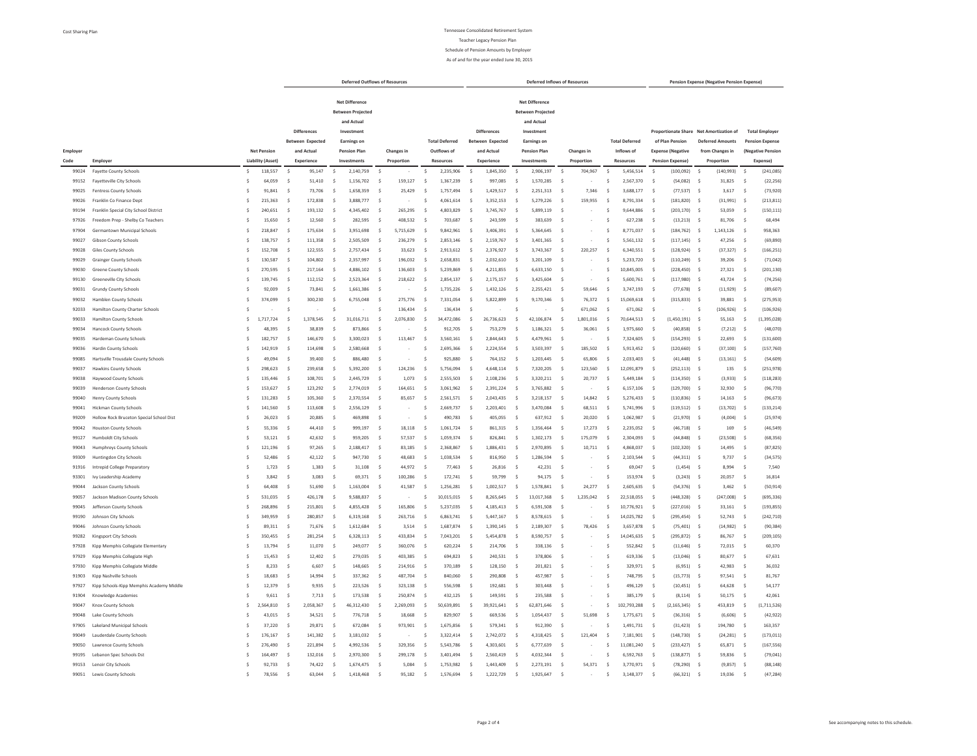#### Teacher Legacy Pension Plan

Schedule of Pension Amounts by Employer

|                |                                                                       |                          | <b>Deferred Outflows of Resources</b> |                         |                    |                          |                      |                  |                    |                        |                    |                         | <b>Deferred Inflows of Resource:</b> |                          |              | <b>Pension Expense (Negative Pension Expense)</b> |                    |                        |                    |                          |                          |                         |                    |                        |
|----------------|-----------------------------------------------------------------------|--------------------------|---------------------------------------|-------------------------|--------------------|--------------------------|----------------------|------------------|--------------------|------------------------|--------------------|-------------------------|--------------------------------------|--------------------------|--------------|---------------------------------------------------|--------------------|------------------------|--------------------|--------------------------|--------------------------|-------------------------|--------------------|------------------------|
|                |                                                                       |                          |                                       |                         |                    |                          |                      |                  |                    |                        |                    |                         |                                      |                          |              |                                                   |                    |                        |                    |                          |                          |                         |                    |                        |
|                |                                                                       |                          |                                       |                         |                    | <b>Net Difference</b>    |                      |                  |                    |                        |                    |                         |                                      | <b>Net Difference</b>    |              |                                                   |                    |                        |                    |                          |                          |                         |                    |                        |
|                |                                                                       |                          |                                       |                         |                    | <b>Between Projected</b> |                      |                  |                    |                        |                    |                         |                                      | <b>Between Projected</b> |              |                                                   |                    |                        |                    |                          |                          |                         |                    |                        |
|                |                                                                       |                          |                                       |                         |                    | and Actual               |                      |                  |                    |                        |                    |                         |                                      | and Actual               |              |                                                   |                    |                        |                    |                          |                          |                         |                    |                        |
|                |                                                                       |                          |                                       | Differences             |                    | Investment               |                      |                  |                    |                        |                    | Differences             |                                      | Investment               |              |                                                   |                    |                        |                    | nate Share               |                          | Amortization o          |                    | <b>Total Employer</b>  |
|                |                                                                       |                          |                                       | <b>Between Expected</b> |                    | Earnings on              |                      |                  |                    | <b>Total Deferred</b>  |                    | <b>Between Expected</b> |                                      | Earnings on              |              |                                                   |                    | <b>Total Deferred</b>  |                    | of Plan Pension          |                          | <b>Deferred Amounts</b> |                    | <b>Pension Expense</b> |
| Employer       |                                                                       | <b>Net Pension</b>       |                                       | and Actual              |                    | <b>Pension Plan</b>      |                      | Changes in       |                    | Outflows of            |                    | and Actual              |                                      | <b>Pension Plan</b>      |              | <b>Changes</b> in                                 |                    | Inflows of             |                    | <b>Expense (Negative</b> |                          | from Changes in         |                    | (Negative Pension      |
| Code           | Employer                                                              | <b>Liability (Asset)</b> |                                       | Experience              |                    | Investments              |                      | Proportion       |                    | Resources              |                    | Experience              |                                      | Investments              |              | Proportion                                        |                    | <b>Resources</b>       |                    | <b>Pension Expense</b>   |                          | Proportion              |                    | Expense)               |
| 99024          | Favette County Schools<br>Ŝ.                                          | 118,557                  | <sub>S</sub>                          | 95.147                  | -S                 | 2,140,759                | $\mathsf{s}$         |                  | -S                 | 2,235,906              | $\mathsf{S}$       | 1,845,350               | -S                                   | 2.906.197                | <sub>S</sub> | 704.967                                           | $\mathsf{S}$       | 5,456,514              | $\leq$             | (100, 092)               | -S                       | (140, 993)              | $\mathsf{S}$       | (241, 085)             |
| 99152          | s<br><b>Favetteville City Schools</b>                                 | 64,059                   | S                                     | 51.410                  | -S                 | 1.156.702                | -S                   | 159.127          | -S                 | 1.367.239              | -S                 | 997.085                 | -S                                   | 1.570.285                | -S           |                                                   | - S                | 2.567.370              | -S                 | (54.082)                 | -S                       | 31.825                  | $\mathsf{s}$       | (22.256)               |
| 99025          | s<br><b>Fentress County Schools</b>                                   | 91.841                   | s                                     | 73,706                  | -S                 | 1,658,359                | -S                   | 25,429           | <sup>s</sup>       | 1,757,494              | <sub>S</sub>       | 1,429,517               | <sub>S</sub>                         | 2,251,313                | <sub>S</sub> | 7,346                                             | $\mathsf{s}$       | 3,688,177              | <b>S</b>           | (77, 537)                | <sub>S</sub>             | 3,617                   | -S                 | (73, 920)              |
| 99026          | Franklin Co Finance Dept<br>S                                         |                          | Ś                                     | 172,838                 |                    | 3,888,777                |                      |                  | -S                 | 4,061,614              | Ś                  | 3,352,153               | \$                                   | 5,279,226                | S            | 159,955                                           |                    | 8,791,334              |                    | (181, 820)               | -S                       | (31, 991)               | Ś                  | (213, 811)             |
| 99194          | Franklin Special City School District<br>Ś                            | 240.651                  | s                                     | 193,132                 | <sub>S</sub>       | 4.345.402                |                      | 265.295          | <sup>s</sup>       | 4.803.829              | .S                 | 3.745.767               | s                                    | 5.899.119                |              |                                                   | Ś                  | 9.644.886              | -S                 | (203.170)                | <sub>S</sub>             | 53.059                  | <sub>S</sub>       | (150.111)              |
| 97926          | Freedom Prep - Shelby Co Teachers<br>S                                | 15.650                   | S                                     | 12,560                  | Ś                  | 282,595                  |                      | 408.532          | <sub>S</sub>       | 703,687                | Ś                  | 243,599                 | Ś                                    | 383,639                  |              |                                                   | Ś                  | 627,238                | <sub>S</sub>       | (13, 213)                | \$                       | 81,706                  | Ś                  | 68,494                 |
| 97904          | Germantown Municipal Schools<br>S                                     | 218.847                  | -S                                    | 175,634                 | -S                 | 3.951.698                | $\leq$               | 5,715,629        | S                  | 9,842,961              | \$                 | 3,406,391               | S                                    | 5,364,645                |              |                                                   | Ś                  | 8,771,037              | <b>S</b>           | (184, 762)               | s                        | 1,143,126               | \$                 | 958,363                |
| 99027          | Gibson County Schools<br>Ś                                            | 138 757                  | <sub>S</sub>                          | 111.358                 | ¢                  | 2.505.509                |                      | 236.27           | <b>A</b>           | 2.853.146              | S                  | 2.159.767               | S                                    | 3.401.365                | <b>A</b>     |                                                   | ×.                 | 5.561.132              | -S                 | (117, 145)               | S                        | 47.256                  | <sup>s</sup>       | (69, 890)              |
| 99028          | Giles County Schools<br>Ś                                             | 152.708                  | S.                                    | 122.555                 | -S                 | 2.757.434                |                      | 33.623           | -S                 | 2.913.612              | -S                 | 2.376.927               | S.                                   | 3.743.367                | S.           | 220.257                                           | A,                 | 6.340.551              | $\leq$             | (128.924)                | s                        | (37.327)                | Ś                  | (166, 251)             |
| 99029          | <b>Grainger County Schools</b><br>Ś                                   | 130.587                  | <sub>S</sub>                          | 104.802                 | $\leq$             | 2.357.997                | $\leq$               | 196.032          | S                  | 2.658.831              | -S                 | 2.032.610               | Ŝ                                    | 3.201.109                | $\leq$       |                                                   | -S                 | 5.233.720              | $\hat{\mathbf{S}}$ | (110.249)                | <sub>S</sub>             | 39,206                  | <sub>S</sub>       | (71, 042)              |
| 99030          | <b>Greene County Schools</b><br>S                                     | 270.595                  | S                                     | 217.164                 | -S                 | 4.886.102                | $\sim$               | 136,603          | S                  | 5.239.869              | -S                 | 4.211.855               | Ŝ                                    | 6.633.150                | <b>A</b>     |                                                   | -S                 | 10.845.005             | <b>S</b>           | (228.450)                | <sub>S</sub>             | 27.321                  | <sub>S</sub>       | (201.130)              |
| 99130          | Ś<br>Greeneville City Schools                                         | 139.745                  | s.                                    | 112,152                 | - 9                | 2.523.364                | -S                   | 218.622          | $\leq$             | 2.854.137              | -S                 | 2.175.157               | <b>S</b>                             | 3.425.604                | -S           |                                                   | -S                 | 5.600.761              | -Ś                 | (117.980)                | -S                       | 43.724                  | -S                 | (74, 256)              |
| 99031          | <b>Grundy County Schools</b><br>s                                     | 92.009                   | s                                     | 73,841                  |                    | 1.661.386                |                      |                  | S                  | 1,735,226              | ś                  | 1.432.126               | s                                    | 2.255.421                | s            | 59,646                                            |                    | 3.747.193              | <sub>S</sub>       | (77, 678)                | <sub>S</sub>             | (11, 929)               | Ś                  | (89, 607)              |
| 99032          | Hamblen County Schools<br>s                                           | 374.099                  | -S                                    | 300,230                 | -S                 | 6.755.048                | -S                   | 275,776          | <sub>S</sub>       | 7,331,054              | .S                 | 5.822.899               | s                                    | 9,170,346                | <sub>S</sub> | 76,372                                            | <sub>S</sub>       | 15,069,618             | -S                 | (315, 833)               | - S                      | 39,881                  | \$                 | (275, 953)             |
| 92033          | Hamilton County Charter Schools<br>s                                  |                          | s                                     |                         | Ś                  |                          |                      | 136.434          |                    | 136.434                | ś                  |                         | Ś                                    |                          | s            | 671.062                                           |                    | 671.062                |                    |                          | s                        | (106.926)               | <sub>S</sub>       | (106, 926)             |
| 99033          | <b>Hamilton County Schools</b><br>\$                                  | 724                      | $\mathsf S$                           | 1,378,545               | <sub>S</sub>       | 31,016,711               | $\leq$               | 2,076,830        | <sub>S</sub>       | 34,472,086             | -S                 | 26,736,623              | Ś                                    | 42,106,874               | <sub>S</sub> | 1,801,016                                         | <sub>S</sub>       | 70,644,513             | <sub>S</sub>       | (1,450,191)              | $\overline{\phantom{a}}$ | 55,163                  | \$                 | (1, 395, 028)          |
| 99034          | <b>Hancock County Schools</b><br>S                                    | 48.395                   | S                                     | 38,839                  |                    | 873,866                  |                      |                  |                    | 912,705                | ś                  | 753,279                 | Ś                                    | 1,186,321                | S            | 36,061                                            | Ś                  | 1,975,660              |                    | (40, 858)                | S                        | (7, 212)                | Ś                  | (48,070)               |
| 99035          | Hardeman County Schools<br>\$                                         | 182.757                  | \$                                    | 146,670                 | -S                 | 3,300,023                |                      | 113,467          | <sub>S</sub>       | 3,560,161              | \$                 | 2,844,643               | \$                                   | 4,479,961                | <sub>S</sub> | 185.502                                           | -S                 | 7,324,605              | -S                 | (154, 293)               | -S                       | 22,693                  | \$                 | (131, 600)             |
| 99036          | <b>Hardin County Schools</b><br>S                                     | 142.919                  | $\sim$                                | 114,698                 | -S                 | 2.580.668                | $\sim$               |                  | .S                 | 2.695.366              | $\hat{\mathbf{z}}$ | 2.224.554               | S.                                   | 3.503.397                | $\leq$       |                                                   | $\leq$             | 5.913.452              | $\hat{\mathbf{S}}$ | (120.660)                | $\leq$                   | (37.100)                | <sub>S</sub>       | (157, 760)             |
| 99085          | Hartsville Trousdale County Schools<br>s                              | 49.094                   | s                                     | 39,400                  | $\hat{\mathbf{S}}$ | 886,480                  |                      |                  | $\leq$             | 925.880                | -S                 | 764.152                 | s                                    | 1.203.445                | -S           | 65,806                                            | $\hat{\mathbf{z}}$ | 2.033.403              | $\hat{\mathbf{S}}$ | (41.448)                 | s                        | (13, 161)               | $\mathsf{s}$       | (54, 609)              |
| 99037          | Ś<br><b>Hawkins County Schools</b><br>Ś                               | 298.623                  | -S<br>Ś                               | 239.658<br>108,701      | -S                 | 5.392.200                | $\leq$               | 124.236          | -S                 | 5.756.094              | -S                 | 4.648.114               | S<br>S.                              | 7.320.205                | -S<br>$\sim$ | 123,560                                           | -Ś                 | 12.091.879             | -S                 | (252.113)                | <sub>S</sub>             | 135<br>(3.933)          | <sub>S</sub>       | (251, 978)             |
| 99038<br>99039 | <b>Haywood County Schools</b><br>Ś<br><b>Henderson County Schools</b> | 135,446<br>153.627       | <sub>S</sub>                          | 123.292                 | - 9                | 2.445.729<br>2.774.019   | -S                   | 1.073<br>164,651 | .S                 | 2.555.503<br>3.061.962 | -S<br>-S           | 2.108.236<br>2.391.224  | Ś                                    | 3.320.211<br>3.765.882   |              | 20.737                                            | - S                | 5.449.184<br>6.157.106 | -Ś                 | (114.350)<br>(129.700)   | -S                       | 32.930                  | -S<br>Ś            | (118, 283)<br>(96.770) |
| 99040          | <b>Henry County Schools</b><br>s                                      | 131.283                  | s                                     | 105,360                 | - 9<br>-S          | 2.370.554                | -S                   | 85,657           | .S<br><sub>S</sub> | 2,561,571              | -S                 | 2.043.435               | S                                    | 3,218,157                | -S<br>s      | 14,842                                            | -S<br><sub>S</sub> | 5,276,433              | -S<br><b>S</b>     | (110, 836)               | -S<br><sub>S</sub>       | 14,163                  | Ś                  | (96, 673)              |
| 99041          | <b>Hickman County Schools</b><br>S                                    |                          | S                                     | 113,608                 | <sub>S</sub>       | 2,556,129                |                      |                  |                    | 2,669,737              | -S                 | 2,203,401               | S                                    | 3,470,084                | <sub>S</sub> | 68,511                                            | \$                 | 5,741,996              |                    | (119, 512)               | <sub>S</sub>             | (13, 702)               | -S                 | (133, 214)             |
| 99209          | <b>Hollow Rock Bruceton Special School Dist</b><br>s                  | 26.023                   | Ś                                     | 20,885                  |                    | 469.898                  |                      |                  |                    | 490.783                | ś                  | 405.055                 |                                      | 637.912                  | s            | 20.020                                            |                    | 1.062.987              |                    | (21, 970)                | -S                       | (4.004)                 | S.                 | (25, 974)              |
| 99042          | <b>Houston County Schools</b><br>S                                    | 55,336                   | S                                     | 44,410                  | Ś                  | 999,197                  |                      | 18,118           | s                  | 1,061,724              | -S                 | 861,315                 | S                                    | 1,356,464                | s            | 17,273                                            | Ś                  | 2,235,052              | <sub>S</sub>       | (46, 718)                | \$                       | 169                     | Ś                  | (46, 549)              |
| 99127          | <b>Humboldt City Schools</b><br>\$                                    | 53.121                   | s                                     | 42.632                  | $\hat{\mathbf{S}}$ | 959.205                  |                      | 57,537           | $\leq$             | 1.059.374              | -S                 | 826.841                 | s                                    | 1,302,173                | <sub>S</sub> | 175.079                                           | -S                 | 2.304.093              | -S                 | (44, 848)                | S                        | (23, 508)               | -S                 | (68,356                |
| 99043          | <b>Humphreys County Schools</b><br>\$                                 | 121 196                  | s                                     | 97,265                  | $\leq$             | 2.188.417                |                      | 83,185           | $\hat{\mathbf{S}}$ | 2,368,867              | \$                 | 1.886.431               | S                                    | 2,970,895                | $\sim$       | 10,711                                            | $\hat{\mathbf{z}}$ | 4.868.037              | -S                 | (102, 320)               | $\leq$                   | 14,495                  | \$                 | (87, 825)              |
| 99309          | Huntingdon City School:<br>S.                                         | 52.486                   | S.                                    | 42.122                  | -S                 | 947.730                  | $\sim$               | 48.683           | .S                 | 1.038.534              | -S                 | 816.950                 | S.                                   | 1.286.594                | -S           |                                                   | -S                 | 2.103.544              | -S                 | (44.311)                 | <b>S</b>                 | 9.737                   | <b>S</b>           | (34, 575)              |
| 91916          | s<br>Intrepid College Preparatory                                     | 1.723                    | <sub>S</sub>                          | 1.383                   | -S                 | 31.108                   | $\leq$               | 44.972           | <sub>S</sub>       | 77.463                 | -S                 | 26.816                  | S                                    | 42.231                   | -S           |                                                   | -S                 | 69.047                 | <b>S</b>           | (1.454)                  | -S                       | 8.994                   | <sub>S</sub>       | 7.540                  |
| 93301          | Ś<br>Ivy Leadership Academy                                           | 3.842                    | -S                                    | 3.083                   | -S                 | 69.371                   | $\ddot{\phantom{1}}$ | 100.286          | <sub>S</sub>       | 172.741                | -S                 | 59.799                  | S                                    | 94.175                   | $\sim$       |                                                   | -S                 | 153.974                | <b>S</b>           | (3.243)                  | -S                       | 20.057                  | <sup>s</sup>       | 16.814                 |
| 99044          | Jackson County Schools<br>S                                           | 64.408                   | S                                     | 51,690                  | - S                | 1.163.004                | -S                   | 41.587           | <sub>S</sub>       | 1.256.281              | -Ś                 | 1.002.517               | Ŝ                                    | 1.578.841                | $\leq$       | 24.277                                            | $\leq$             | 2.605.635              | -S                 | (54.376)                 | <sub>S</sub>             | 3.462                   | <sub>S</sub>       | (50, 914)              |
| 99057          | Ś<br>Jackson Madison County Schools                                   | 531.035                  | s                                     | 426,178                 | <sub>S</sub>       | 9.588.837                |                      |                  | S                  | 10,015,015             | <sub>S</sub>       | 8.265.645               | Ś                                    | 13,017,368               | s            | 1.235.042                                         | Ś                  | 22,518,055             | -S                 | (448, 328)               | s                        | (247.008)               | Ś                  | (695, 336)             |
| 99045          | Jefferson County Schools<br>\$                                        | 268,896                  | s                                     | 215,801                 | -S                 | 4.855.428                | -S                   | 165,806          | <sub>S</sub>       | 5,237,035              | -S                 | 4.185.413               | s                                    | 6,591,508                | s            |                                                   | Ś                  | 10,776,921             | <b>S</b>           | (227, 016)               | <sub>S</sub>             | 33,161                  | <sub>S</sub>       | (193, 855)             |
| 99190          | Johnson City Schools<br>Ś                                             | 349.959                  | s                                     | 280.857                 | <sub>S</sub>       | 6.319.168                |                      | 263.716          | <sub>S</sub>       | 6.863.741              | <sub>S</sub>       | 5.447.167               | s                                    | 8.578.615                |              |                                                   | Ś                  | 14.025.782             | <b>S</b>           | (295.454)                | <sub>S</sub>             | 52.743                  | Ś                  | (242, 710)             |
| 99046          | Johnson County Schools<br>s                                           | 89.313                   | S                                     | 71,676                  | <sub>S</sub>       | 1,612,684                |                      | 3,514            | <sub>S</sub>       | 1,687,874              | -S                 | 1,390,145               | s                                    | 2,189,307                | K            | 78,426                                            | Š.                 | 3.657.878              | $\leq$             | (75, 401)                | <sub>S</sub>             | (14, 982)               | Ś                  | (90, 384)              |
| 99282          | Kingsport City Schools<br>S                                           |                          | S                                     | 281,254                 | <sup>\$</sup>      | 6,328,113                |                      | 433,834          | \$                 | 7,043,201              | -S                 | 5,454,878               | \$                                   | 8,590,757                | s            |                                                   | Ś                  | 14,045,635             | <sub>S</sub>       | (295, 872)               | -S                       | 86,767                  | Ś                  | (209, 105)             |
| 97928          | Kipp Memphis Collegiate Elementary<br>S                               | 13.794                   | s                                     | 11,070                  | <b>A</b>           | 249.077                  |                      | 360.07           | <sub>S</sub>       | 620,224                | -S                 | 214,706                 | \$                                   | 338.<br>136              | <b>A</b>     |                                                   | Ś                  | 552.842                | -S                 | (11, 646)                | \$                       | 72,015                  | \$                 | 60,370                 |
| 97929          | Kipp Memphis Collegiate High<br>S.                                    | 15.453                   | $\hat{\mathbf{S}}$                    | 12.402                  | $\leq$             | 279.035                  | $\sim$               | 403.385          | $\leq$             | 694.823                | $\leq$             | 240.531                 | S.                                   | 378.806                  | $\leq$       |                                                   | $\hat{\mathbf{z}}$ | 619.336                | $\hat{\mathbf{S}}$ | (13.046)                 | $\leq$                   | 80.677                  | $\hat{\mathbf{z}}$ | 67.631                 |
| 97930          | Kipp Memphis Collegiate Middle<br>Ś                                   | 8.233                    | $\sim$                                | 6.607                   | $\hat{\mathbf{S}}$ | 148.665                  | $\ddot{\phantom{1}}$ | 214.916          | $\leq$             | 370.189                | -S                 | 128,150                 | Š                                    | 201.821                  |              |                                                   | $\hat{\mathbf{z}}$ | 329.971                | $\hat{\mathbf{S}}$ | (6.951)                  | s                        | 42.983                  | S.                 | 36.032                 |
| 91903          | Kipp Nashville Schools<br>S                                           | 18.683                   | <sub>S</sub>                          | 14.994                  | -S                 | 337.362                  | $\leq$               | 487.704          | <sub>S</sub>       | 840.060                | -S                 | 290,808                 | S                                    | 457.987                  | $\leq$       |                                                   | -S                 | 748.795                | <b>S</b>           | (15.773)                 | -S                       | 97.541                  | <sub>S</sub>       | 81.767                 |
| 97927          | Kipp Schools-Kipp Memphis Academy Middle<br>Ś                         | 12.379                   | <sub>S</sub>                          | 9.935                   | $\leq$             | 223.526                  | -S                   | 323.138          | $\hat{\mathbf{S}}$ | 556.598                | -S                 | 192.681                 | <b>S</b>                             | 303,448                  | .S           |                                                   | $\hat{\mathbf{z}}$ | 496.129                | $\hat{\mathbf{S}}$ | (10.451)                 | $\sim$                   | 64.628                  | -S                 | 54.177                 |
| 91904          | Knowledge Academies<br>S                                              | 9.611                    | S                                     | 7.713                   | - S                | 173.538                  | -S                   | 250.874          | -S                 | 432.125                | -S                 | 149.591                 | S                                    | 235.588                  | .S           |                                                   | -S                 | 385.179                | -S                 | (8.114)                  | -S                       | 50.175                  | <sub>S</sub>       | 42.061                 |
| 99047          | $\sf S$<br>Knox County Schools                                        | 2.564.810                | Ś                                     | 2,058,367               | <sub>S</sub>       | 46,312,430               | s.                   | 2,269,093        | S                  | 50,639,891             | <sub>S</sub>       | 39.921.641              | Ś                                    | 62.871.646               |              |                                                   | Ś                  | 102.793.288            | <b>S</b>           | (2, 165, 345)            | <sub>S</sub>             | 453,819                 | \$                 | (1,711,526)            |
| 99048          | Lake County Schools<br>S                                              | 13,019                   | Ś                                     | 34,521                  |                    | 776,718                  |                      | 18,66            |                    | 829,907                | Ś                  | 669,536                 |                                      | 1,054,437                | S            | 51,698                                            | Ś                  | 1,775,671              |                    | (36, 316)                | S                        | (6,606)                 | Ś                  | (42, 922)              |
| 97905          | <b>Lakeland Municipal Schools</b><br>S                                | 37.220                   | s                                     | 29.871                  | <sub>S</sub>       | 672.084                  |                      | 973.90:          | <sup>s</sup>       | 1.675.856              | -S                 | 579.341                 | S                                    | 912.390                  | s            |                                                   |                    | 1.491.731              | <b>S</b>           | (31.423)                 | -S                       | 194.780                 | S.                 | 163,357                |
| 99049          | Lauderdale County School:<br>\$                                       | 176.167                  | Ś                                     | 141,382                 | Ś                  | 3,181,032                |                      |                  |                    | 3,322,414              | Ś                  | 2,742,072               | S                                    | 4,318,425                | s            | 121,404                                           | ¢                  | 7,181,901              |                    | (148, 730)               | \$                       | (24, 281)               | Ś                  | (173, 011)             |
| 99050          | Lawrence County Schools<br>Ś                                          | 276.490                  | s                                     | 221,894                 | -S                 | 4.992.536                |                      | 329.356          | $\leq$             | 5,543,786              | -S                 | 4,303,601               | s                                    | 6,777,639                | -S           |                                                   |                    | 11.081.240             | <b>S</b>           | (233, 427)               | <sup>s</sup>             | 65,871                  | \$                 | (167, 556)             |
| 99195          | Lebanon Spec Schools Dst<br>\$                                        | 164.497                  | K                                     | 132,016                 | $\hat{\mathbf{S}}$ | 2.970.300                |                      | 299.178          | <b>A</b>           | 3,401,494              | S                  | 2,560,419               | \$                                   | 4,032,344                | <b>A</b>     |                                                   | ¢                  | 6.592.763              | $\hat{\mathbf{S}}$ | (138, 877)               |                          | 59,836                  | S                  | (79, 041)              |
| 99153          | Lenoir City Schools<br>S.                                             | 92.733                   | $\sim$                                | 74.422                  | $\leq$             | 1.674.475                |                      | 5.084            | $\hat{\mathbf{S}}$ | 1.753.982              | $\hat{\mathbf{z}}$ | 1.443.409               | $\hat{\mathbf{z}}$                   | 2.273.191                | $\sim$       | 54.371                                            | $\leq$             | 3.770.971              | $\leq$             | (78.290)                 | -S                       | (9.857)                 | $\leq$             | (88.148)               |
| 99051          | Lewis County Schools<br>K                                             | 78.556                   | $\leq$                                | 63.044                  | $\hat{\mathbf{S}}$ | 1.418.468                | $\leq$               | 95.182           | <b>S</b>           | 1.576.694              | -S                 | 1.222.729               | Š,                                   | 1.925.647                | $\sim$       |                                                   | <b>S</b>           | 3.148.377              | $\leq$             | (66.321)                 | $\leq$                   | 19.036                  | <b>S</b>           | (47, 284)              |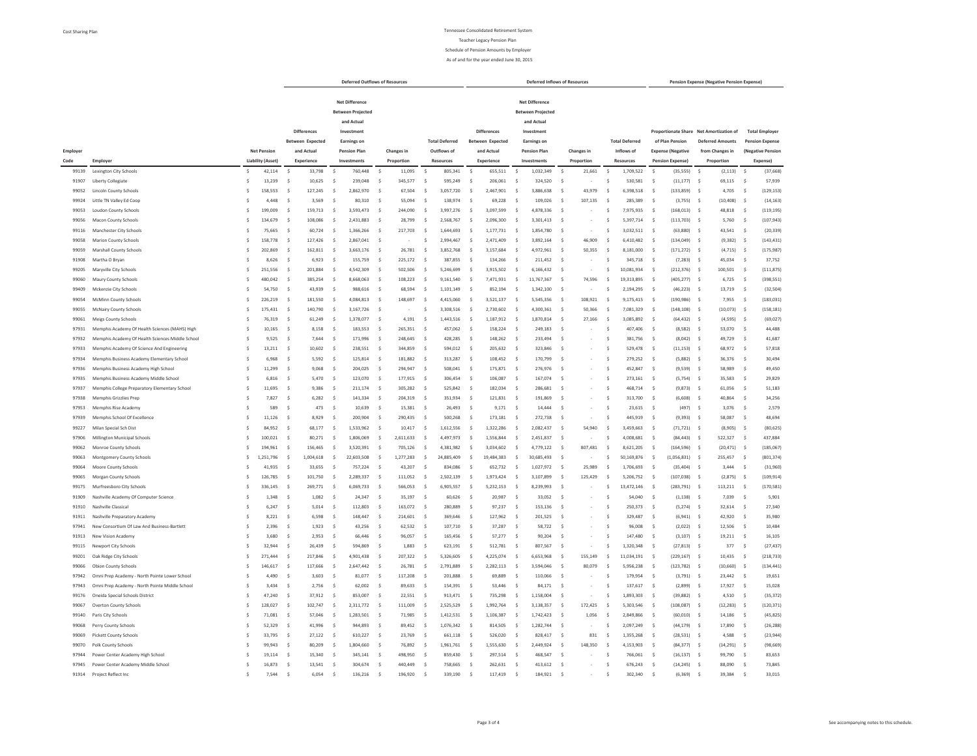#### Teacher Legacy Pension Plan

Schedule of Pension Amounts by Employer

|                |                                                                                   |                          |                               | <b>Deferred Inflows of Resources</b> |                          |        |                   |              |                       |              |                         |                    | <b>Pension Expense (Negative Pension Expense)</b> |              |            |                      |                        |                          |                            |                              |                         |                    |                         |
|----------------|-----------------------------------------------------------------------------------|--------------------------|-------------------------------|--------------------------------------|--------------------------|--------|-------------------|--------------|-----------------------|--------------|-------------------------|--------------------|---------------------------------------------------|--------------|------------|----------------------|------------------------|--------------------------|----------------------------|------------------------------|-------------------------|--------------------|-------------------------|
|                |                                                                                   |                          |                               |                                      |                          |        |                   |              |                       |              |                         |                    |                                                   |              |            |                      |                        |                          |                            |                              |                         |                    |                         |
|                |                                                                                   |                          |                               |                                      | <b>Net Difference</b>    |        |                   |              |                       |              |                         |                    | <b>Net Difference</b>                             |              |            |                      |                        |                          |                            |                              |                         |                    |                         |
|                |                                                                                   |                          |                               |                                      | <b>Between Projected</b> |        |                   |              |                       |              |                         |                    | <b>Between Projected</b>                          |              |            |                      |                        |                          |                            |                              |                         |                    |                         |
|                |                                                                                   |                          |                               |                                      | and Actual               |        |                   |              |                       |              |                         |                    | and Actual                                        |              |            |                      |                        |                          |                            |                              |                         |                    |                         |
|                |                                                                                   |                          | <b>Differences</b>            |                                      | Investment               |        |                   |              |                       |              | Differences             |                    | Investment                                        |              |            |                      |                        |                          | <b>Proportionate Share</b> |                              | Net Amortization of     |                    | <b>Total Employer</b>   |
|                |                                                                                   |                          | <b>Between Expected</b>       |                                      | Earnings on              |        |                   |              | <b>Total Deferred</b> |              | <b>Between Expected</b> |                    | Earnings on                                       |              |            |                      | <b>Total Deferred</b>  |                          | of Plan Pension            |                              | <b>Deferred Amounts</b> |                    | <b>Pension Expense</b>  |
| Employer       |                                                                                   | <b>Net Pension</b>       | and Actual                    |                                      | <b>Pension Plan</b>      |        | Changes in        |              | Outflows of           |              | and Actual              |                    | <b>Pension Plan</b>                               |              | Changes in |                      | Inflows of             |                          | <b>Expense (Negative</b>   |                              | from Changes in         |                    | (Negative Pension       |
| Code           | Employer                                                                          | <b>Liability (Asset)</b> | Experience                    |                                      | Investments              |        | Proportion        |              | Resources             |              | Experience              |                    | Investments                                       |              | Proportion |                      | <b>Resources</b>       |                          | <b>Pension Expense</b>     |                              | Proportion              |                    | <b>Expensel</b>         |
| 99139          | Lexington City Schools<br>s                                                       | 42.114                   | s<br>33,798                   | \$                                   | 760,448                  | s.     | 11,095            | s            | 805,341               | $\mathsf{S}$ | 655,511                 | <sub>S</sub>       | 1,032,349                                         | <sub>S</sub> | 21,661     | $\mathsf{S}$         | 1,709,522              | s.                       | (35, 555)                  | s                            | (2, 113)                | $\mathsf{S}$       | (37, 668)               |
| 91907          | S<br>Liberty Collegiate                                                           | 13.239                   | 10.625<br>-S                  | ×,                                   | 239.048                  | -S     | 345.577           | -S           | 595.249               | S            | 206.061                 |                    | 324.520                                           | $\sim$       |            | -S.                  | 530.581                | -S                       | (11.177)                   | -S                           | 69.115                  | - S                | 57.939                  |
| 99052          | <b>Lincoln County Schools</b><br>Ś                                                | 158.553                  | s<br>127,245                  | ß.                                   | 2.862.970                | s      | 67.504            | s            | 3,057,720             | ś            | 2.467.901               | Ś                  | 3.886.638                                         |              | 43,979     | <sub>S</sub>         | 6.398.518              | 1                        | (133, 859)                 | -S                           | 4.705                   | ś                  | (129, 153)              |
| 99924          | Little TN Valley Ed Coop<br>Ś                                                     | 4,448                    | 3,569                         |                                      | 80,310                   | S      | 55,094            | Ś            | 138,974               | Ś            | 69,228                  | Ś                  | 109,026                                           |              | 107,135    |                      | 285,389                |                          | (3,755)                    | <sub>S</sub>                 | (10, 408)               | Ś                  | (14, 163)               |
| 99053          | Loudon County Schools<br>Ś                                                        | 199,009                  | 159,713<br>s                  | <sub>S</sub>                         | 3.593.473                | s      | 244,090           | s            | 3.997.276             | <sub>S</sub> | 3.097.599               | Ś                  | 4.878.336                                         |              |            |                      | 7.975.935              | s.                       | (168.013)                  | -S                           | 48.818                  | <sub>S</sub>       | (119, 195)              |
| 99056          | Macon County Schools<br>\$                                                        | 134,679                  | 108,086<br>s                  |                                      | 2,431,883                | s      | 28,799            | s            | 2,568,767             | Ś            | 2,096,300               | Ś                  | 3,301,<br>413                                     |              |            |                      | 5.397.714              | s.                       | (113, 703)                 | <sub>S</sub>                 | 5,760                   | Ś                  | (107, 943)              |
| 99116          | Manchester City Schools<br>Ś                                                      | 75.665                   | s<br>60,724                   | <sub>S</sub>                         | 1,366,266                | S.     | 217,703           | s            | 1,644,693             | -S           | 1,177,731               | Ś                  | 1,854,780                                         |              |            | s.                   | 3,032,511              | <b>S</b>                 | (63, 880)                  | -S                           | 43,541                  | <sup>\$</sup>      | (20, 339)               |
| 99058          | Marion County Schools<br>Ś                                                        | 158.778                  | 127,426<br>$\leq$             | <b>A</b>                             | 2,867,041                | S      |                   | <sub>S</sub> | 2,994,467             | S            | 2.471.409               | Ś                  | 3.892.164                                         |              | 46,909     |                      | 6.410.482              | $\hat{\mathbf{S}}$       | (134, 049)                 | -S                           | (9, 382)                | S                  | (143, 431)              |
| 99059          | Marshall County Schools<br>Ś                                                      | 202.869                  | $\hat{\mathbf{S}}$<br>162,811 | $\hat{\mathbf{z}}$                   | 3.663.176                | -S     | 26.78             | S.           | 3,852,768             | <sub>S</sub> | 3.157.684               | Ś                  | 4.972.961                                         | $\sim$       | 50,355     |                      | 8.181.000              | <sub>S</sub>             | (171, 272)                 | <sub>S</sub>                 | (4, 715)                | S.                 | (175, 987)              |
| 91908          | Martha O Brvan<br>S                                                               | 8.626                    | 6.923<br>-S                   | -C                                   | 155,759                  | Ŝ      | 225.172           | <sub>S</sub> | 387.855               | -S           | 134,266                 | -S                 | 211.452                                           |              |            | $\hat{z}$            | 345,718                | <sup>s</sup>             | (7.283)                    | <sub>S</sub>                 | 45.034                  | <sup>s</sup>       | 37,752                  |
| 99205          | Maryville City Schools<br>S                                                       | 251.556                  | $\leq$<br>201.884             | $\hat{\mathbf{z}}$                   | 4.542.309                | S.     | 502.506           | $\leq$       | 5.246.699             | $\leq$       | 3.915.502               | $\hat{\mathbf{z}}$ | 6.166.432                                         | $\sim$       |            | $\leq$               | 10.081.934             | $\hat{\mathbf{S}}$       | (212.376)                  | $\sim$                       | 100.501                 | $\hat{\mathbf{S}}$ | (111, 875)              |
| 99060          | Maury County Schools<br>S                                                         | 480.042                  | 385.254<br>- S                | $\hat{\mathbf{z}}$                   | 8.668.063                | S      | 108.223           | <sub>S</sub> | 9.161.540             | -Ś           | 7.471.931               | s.                 | 11.767.367                                        | $\sim$       | 74.596     | $\leq$               | 19.313.895             | $\hat{\mathbf{S}}$       | (405.277)                  | - S                          | 6.725                   | -S                 | (398.551)               |
| 99409          | Ś<br>Mckenzie City Schools                                                        | 54.750                   | 43,939<br>-S                  | .s                                   | 988,616                  | S      | 68,594            | S            | 1,101,149             | -S           | 852,194                 | Ś                  | 1,342,100                                         | -S           |            | -S                   | 2,194,295              | s.                       | (46, 223)                  | -S                           | 13,719                  | \$                 | (32, 504)               |
| 99054          | <b>McMinn County Schools</b><br>S.                                                | 226.219                  | 181.550<br>-S                 | S.                                   | 4.084.813                | -S     | 148,697           | -S           | 4.415.060             | -Ś           | 3.521.137               | -S                 | 5.545.356                                         | $\sim$       | 108.921    | -S                   | 9.175.415              | -S                       | (190.986)                  | - S                          | 7.955                   | <sub>S</sub>       | (183, 031)              |
| 99055          | <b>McNairy County Schools</b><br>Ś                                                | 175.431                  | 140,790<br><sub>S</sub>       | <sub>S</sub>                         | 3,167,726                | S      |                   | s            | 3,308,516             | <sub>S</sub> | 2.730.602               | Ś                  | 4,300,361                                         |              | 50,366     | -Ś                   | 7.081.329              | <b>S</b>                 | (148, 108)                 | s                            | (10,073)                | \$                 | (158, 181)              |
| 99061          | Meigs County Schools<br>¢                                                         | 76,319                   | s<br>61,249                   | \$                                   | 1,378,077                | S      | 4,191             | s            | 1,443,516             | -S           | 1,187,912               | \$                 | 1,870,814                                         |              | 27,16      |                      | 3,085,892              | -S                       | (64, 432)                  | - S                          | (4,595)                 | -S                 | (69, 027)               |
| 97931          | Memphis Academy Of Health Sciences (MAHS) High                                    | 10.165                   | 8,158                         |                                      | 183.553                  | S      | 265.351           | S.           | 457,062               | S            | 158.224                 | Ś                  | 249.183                                           |              |            |                      | 407.406                |                          | (8, 582)                   | -S                           | 53,070                  | <sup>s</sup>       | 44,488                  |
| 97932          | Memphis Academy Of Health Sciences Middle School<br>Ś                             | 9,525                    | <sub>S</sub><br>7,644         | \$                                   | 171,996                  | S      | 248,645           | S            | 428,285               | Ś            | 148,262                 | \$                 | 233,494                                           |              |            |                      | 381,756                | \$                       | (8,042)                    | -S                           | 49,729                  | Ś                  | 41,687                  |
| 97933          | Memphis Academy Of Science And Engineering<br>\$                                  | 13,21:                   | 10,602<br>$\leq$              | $\hat{\mathbf{z}}$                   | 238,551                  | S.     | 344.859           | S            | 594,012               | -S           | 205,632                 | $\hat{\mathbf{z}}$ | 323.846                                           |              |            |                      | 529,478                | $\leq$                   | (11, 153)                  | <sub>S</sub>                 | 68,972                  | $\mathsf{S}$       | 57,818                  |
| 97934          | Memphis Business Academy Elementary School<br>Ś                                   | 6.968                    | 5,592<br>-S                   | <b>S</b>                             | 125.814                  | S      | 181,882           | S            | 313,287               | -S           | 108.452                 | Ŝ                  | 170.7<br>pp'                                      |              |            |                      | 279.252                | s.                       | (5,882)                    | -S                           | 36,376                  | S                  | 30,494                  |
| 97936          | Memphis Business Academy High School                                              | 11.299                   | $\hat{\mathbf{S}}$<br>9.068   | ß,                                   | 204.025                  | S.     | 294.947           | s            | 508,041               | -S           | 175.871                 | $\hat{\mathbf{z}}$ | 276.976                                           |              |            | $\hat{\mathbf{S}}$   | 452.847                | $\hat{\mathbf{S}}$       | (9,539)                    | -S                           | 58,989                  | S.                 | 49,450                  |
| 97935          | Memphis Business Academy Middle School<br>S.                                      | 6.816                    | $\leq$<br>5.470               | $\leq$                               | 123,070                  | S.     | 177.915           | $\leq$       | 306,454               | -S           | 106.087                 | $\hat{\mathbf{z}}$ | 167.074                                           |              |            | $\ddot{\phantom{1}}$ | 273.161                | $\leq$                   | (5,754)                    | $\leq$                       | 35.583                  | S,                 | 29.829                  |
| 97937          | Memphis College Preparatory Elementary School<br>Ś                                | 11.695                   | $\leq$<br>9.386               | $\hat{\mathbf{z}}$                   | 211.174                  | S.     | 305.282           | $\leq$       | 525.842               | -S           | 182.034                 | $\hat{\mathbf{z}}$ | 286,681                                           |              |            | -S                   | 468.714                | $\leq$                   | (9.873)                    | $\leq$                       | 61.056                  | S,                 | 51.183                  |
| 97938          | Memphis Grizzlies Prep<br>S                                                       | 7.827                    | -S<br>6.282                   | <b>S</b>                             | 141.334                  | S      | 204.319           | <sub>S</sub> | 351.934               | - S          | 121.831                 | Ŝ                  | 191.869                                           |              |            | $\leq$               | 313,700                | s.                       | (6.608)                    | -S                           | 40.864                  | Ś                  | 34,256                  |
| 97953          | Memphis Rise Academy                                                              | 589                      | 473<br>$\leq$                 | -S                                   | 10.639                   | -S     | 15.381            | -S           | 26.493                | -S           | 9.171                   | $\leq$             | 14,444                                            |              |            | -S                   | 23.615                 | $\hat{\mathbf{S}}$       | (497)                      | - s                          | 3.076                   | -S                 | 2,579                   |
| 97939          | Memphis School Of Excellence<br>s                                                 | 11.126                   | 8.929<br>-S                   | -S                                   | 200.904                  | -S     | 290.435           | s            | 500.268               | $\mathsf{s}$ | 173.181                 | <b>S</b>           | 272.738                                           | $\sim$       |            | -S.                  | 445.919                | -S                       | (9.393)                    | - s                          | 58.087                  | Ś                  | 48.694                  |
| 99227          | Milan Special Sch Dist<br>Ś                                                       | 84.952                   | 68,177<br><sub>S</sub>        | <sup>s</sup>                         | 1,533,962                | s      | 10,417            | s            | 1,612,556             | -S           | 1,322,286               | Ś                  | 2,082,437                                         |              | 54,940     | -S                   | 3,459,663              | <b>S</b>                 | (71, 721)                  | <sub>S</sub>                 | (8,905)                 | -S                 | (80, 625)               |
| 97906          | Millington Municipal Schools<br>Ś                                                 | 100.021                  | 80,271                        |                                      | 1.806.069                | S      | 2.611.633         | S            | 4.497.973             | S            | 1.556.844               | Ś                  | 2.451.837                                         |              |            |                      | 4.008.681              |                          | (84, 443)                  | <sub>S</sub>                 | 522.327                 | <sup>s</sup>       | 437.884                 |
| 99062          | Monroe County Schools                                                             | 194.961                  | 156,465<br><sub>S</sub>       | Ś                                    | 3.520.391                | s      | 705.126           | s            | 4.381.982             | -S           | 3.034.602               | Ś                  | 4.779.122                                         |              | 807,481    |                      | 8.621.205              | 1                        | (164.596)                  | <sub>S</sub>                 | (20, 471)               | -S                 | (185, 067)              |
| 99063          | Montgomery County Schools<br>Ś                                                    |                          | 1,004,618<br>s                |                                      | 22,603,508               | S      | 1,277,283         | S            | 24,885,409            | Ś            | 19,484,383              | \$                 | 30,685,<br>493                                    |              |            |                      | 50,169,876             |                          | (1,056,831)                | <sub>S</sub>                 | 255,457                 | Ś                  | (801, 374)              |
| 99064          | Moore County Schools<br>Ś                                                         | 41.935                   | 33,655<br>$\leq$              | $\hat{\mathbf{z}}$                   | 757.224                  | S.     | 43,207            | S.           | 834,086               | S            | 652.732                 | Ś                  | 1,027,972                                         |              | 25.989     |                      | 1,706,693              | <b>S</b>                 | (35, 404)                  | -S                           | 3,444                   | \$                 | (31, 960)               |
| 99065          | Morgan County Schools<br>Ś                                                        | 126.78                   | 101,750<br><sub>S</sub>       | ×,                                   | 2,289,337                | s      | 111,052           | s            | 2,502,139             | ś            | 1.973.424               | Ś                  | 3,107,899                                         |              | 125,429    |                      | 5.206.752              | <sub>S</sub>             | (107, 038)                 | <sub>S</sub>                 | (2,875)                 | Ś                  | (109, 914)              |
| 99175          | Murfreesboro City Schools<br>Ś                                                    | 336.145                  | <sub>S</sub><br>269,771       | \$                                   | 6.069.733                | S.     | 566,05            | s            | 6,905,557             | <sub>S</sub> | 5.232.153               | Ś                  | 8.239.993                                         |              |            | $\leq$               | 13,472,146             | <sub>S</sub>             | (283, 791)                 | -S                           | 113,211                 | - S                | (170, 581)              |
| 91909          | Nashville Academy Of Computer Science<br>S                                        | 1.348                    | $\leq$<br>1.082               | $\hat{\mathbf{z}}$                   | 24.347                   | S.     | 35.197            | $\leq$       | 60.626                | S            | 20.987                  | $\leq$             | 33.052                                            |              |            | -S                   | 54.040                 | <b>S</b>                 | (1.138)                    | $\leq$                       | 7.039                   | $\leq$             | 5.901                   |
| 91910          | Nashville Classical<br>Š                                                          | 6.247                    | $\hat{\mathbf{S}}$<br>5.014   | ×,                                   | 112.803                  | Š      | 163,072           | S.           | 280.889               | -S           | 97.237                  | S.                 | 153.136                                           |              |            | $\ddot{\phantom{1}}$ | 250.373                | s.                       | (5, 274)                   | $\hat{\mathbf{S}}$           | 32,614                  | Ś                  | 27,340                  |
| 91911          | Nashville Preparatory Academy<br>Ś<br>New Consortium Of Law And Business-Bartlett | 8.221                    | 6.598<br>-S                   | <sup>s</sup>                         | 148.447                  | Ŝ      | 214,601           | <sub>S</sub> | 369,646               | -S           | 127.962                 | -S                 | 201.525                                           |              |            | -S.                  | 329.487                | s.                       | (6.941)                    | -S                           | 42.920                  | <sup>s</sup>       | 35,980                  |
| 97941          | S.                                                                                | 2.396                    | 1.923<br>-S                   | S.                                   | 43.256                   | -S     | 62.532            | <sub>S</sub> | 107,710               | - S          | 37.287                  | $\hat{\mathbf{z}}$ | 58.722                                            |              |            | -S.                  | 96.008                 | -S                       | (2.022)                    | - s                          | 12.506                  | <sup>s</sup>       | 10.484                  |
| 91913          | <b>New Vision Academy</b><br>S                                                    | 3.680                    | 2.953<br>-S                   | $\hat{\mathbf{z}}$                   | 66,446                   | S.     | 96.057            | -S           | 165,456               | - S          | 57.277                  | <b>S</b>           | 90.204                                            | - 5          |            | $\leq$               | 147.480                | -S                       | (3.107)                    | - s                          | 19.211                  | $\mathsf{s}$       | 16.105                  |
| 99115          | Newport City Schools<br>Ś                                                         | 32.944                   | 26,439<br>-S                  | -S                                   | 594,869                  | S      | 1.883             | <sub>S</sub> | 623,191               | -S           | 512,781                 | Ś                  | 807.567                                           | -S           |            | s.                   | 1,320,348              | s.                       | (27, 813)                  | -S                           | 377                     | \$                 | (27, 437)               |
| 99201          | Oak Ridge City Schools<br>Ś                                                       | 271.444                  | 217.846<br><sub>S</sub>       | <sup>s</sup>                         | 4.901.438                | S      | 207.322           | <sub>S</sub> | 5,326,605             | $\mathsf{s}$ | 4.225.074               | Ś                  | 6.653.968                                         |              | 155.149    |                      | 11.034.191             | -S                       | (229, 167)                 | - S                          | 10,435                  | <sup>s</sup>       | (218, 733)              |
| 99066          | Obion County Schools<br>Ś                                                         | 146.617                  | <sub>S</sub><br>117,666       | <b>S</b>                             | 2.647.442                | S      | 26.78             | s            | 2,791,889             | <sub>S</sub> | 2.282.113               | Ś                  | 3.594.046                                         |              | 80,079     | -S                   | 5.956.238              | <b>S</b>                 | (123, 782)                 | <sub>S</sub>                 | (10, 660)               | Ś                  | (134, 441)              |
| 97942          | Omni Prep Academy - North Pointe Lower School<br>Ś                                | 4,490<br>3.434           | s<br>3,603<br>$\leq$          | \$<br>A.                             | 81,077<br>62.002         | S<br>S | 117,2             | S            | 201,888               | Ś<br>S       | 69,889                  | \$<br>Ŝ            | 110,066<br>84.1                                   |              |            | $\leq$               | 179,954                | $\mathsf{S}$<br><b>S</b> | (3,791)                    | - S                          | 23,442                  | Ś                  | 19,651                  |
| 97943          | Omni Prep Academy - North Pointe Middle School<br>Ś                               | 47.240                   | 2,756<br><sub>S</sub>         |                                      |                          | s      | 89,633            | S            | 154,391               |              | 53,446                  |                    |                                                   |              |            | s.                   | 137,617                |                          | (2,899)                    | <sub>S</sub>                 | 17,927                  | S                  | 15,028                  |
| 99176<br>99067 | Oneida Special Schools District<br>\$                                             | 128,027                  | 37,912<br>102,747<br>-S       | ŝ<br><b>S</b>                        | 853,007<br>2,311,772     | S      | 22,553<br>111,009 | Ś<br>s       | 913,471<br>2,525,529  | -S<br>\$     | 735,298<br>1.992.764    | \$<br>Ś            | 1,158,004<br>3,138,357                            |              | 172,425    | $\ddot{\phantom{1}}$ | 1,893,303<br>5,303,546 | \$<br><b>S</b>           | (39, 882)<br>(108, 087)    | <sub>S</sub><br><sub>S</sub> | 4,510<br>(12, 283)      | Ś<br>$\mathsf{S}$  | (35, 372)<br>(120, 371) |
| 99140          | Overton County Schools<br>Paris City Schools<br>S                                 | 71.081                   | $\leq$<br>57.046              | A.                                   | 1.283.501                | S.     | 71.98             | $\leq$       | 1.412.531             | - S          | 1.106.387               | $\hat{\mathbf{z}}$ | 1.742.423                                         | $\sim$       | 1.056      | -S                   | 2849866                | $\hat{\mathbf{S}}$       | (60.010)                   | $\sim$                       | 14.186                  | <sup>s</sup>       | (45, 825)               |
| 99068          |                                                                                   | 52.329                   | $\hat{\mathbf{S}}$<br>41,996  | $\hat{\mathbf{z}}$                   | 944.893                  | S.     | 89.452            | s            | 1,076,342             | -S           | 814.505                 | Ś                  | 1,282,744                                         |              |            | $\leq$               | 2.097.249              | $\hat{\mathbf{S}}$       | (44, 179)                  | -S                           | 17,890                  | <sup>\$</sup>      | (26, 288)               |
| 99069          | Perry County Schools<br><b>Pickett County Schools</b><br>Ś                        | 33.795                   | 27.122<br>-S                  | <b>S</b>                             | 610.227                  | -S     | 23,769            | <sub>S</sub> | 661,118               | -Ś           | 526.020                 | Ŝ                  | 828.417                                           | -S           | 831        |                      | 1.355.268              | -S                       | (28, 531)                  | - s                          | 4.588                   | <sup>s</sup>       | (23, 944)               |
| 99070          | <b>Polk County Schools</b><br>s.                                                  | 99.943                   | 80.209<br>-S                  | S.                                   | 1,804,660                | -S     | 76.892            | <sub>S</sub> | 1.961.761             | - S          | 1.555.630               | -S                 | 2.449.924                                         |              | 148.350    | -S                   | 4.153.903              | -S                       | (84.377)                   | - S                          | (14.291)                | -S                 | (98.669                 |
| 97944          | Power Center Academy High School                                                  | 19.114                   | -S<br>15,340                  | A.                                   | 345.141                  | -S     | 498,950           | <sub>S</sub> | 859,430               | -S           | 297.514                 | Ŝ                  | 468.547                                           |              |            | -S.                  | 766.061                | s.                       | (16.137)                   | - S                          | 99.790                  | <sup>s</sup>       | 83.653                  |
| 97945          | Power Center Academy Middle School<br>Š                                           | 16,873                   | 13,541<br>-S                  | A.                                   | 304,674                  | -S     | 440,449           | S            | 758,665               | <b>S</b>     | 262,631                 | -S                 | 413,612                                           | $\sim$       |            | $\leq$               | 676,243                | -S                       | (14, 245)                  | $\sim$                       | 88,090                  | <sup>\$</sup>      | 73,845                  |
| 91914          | Project Reflect Inc                                                               | 7.544                    | 6.054                         |                                      | 136.216                  |        | 196.920           |              | 339.190               |              | 117.419                 | ś                  | 184.921                                           |              |            |                      | 302.340                |                          | (6.369)                    |                              | 39.384                  |                    | 33,015                  |
|                |                                                                                   |                          |                               |                                      |                          |        |                   |              |                       |              |                         |                    |                                                   |              |            |                      |                        |                          |                            |                              |                         |                    |                         |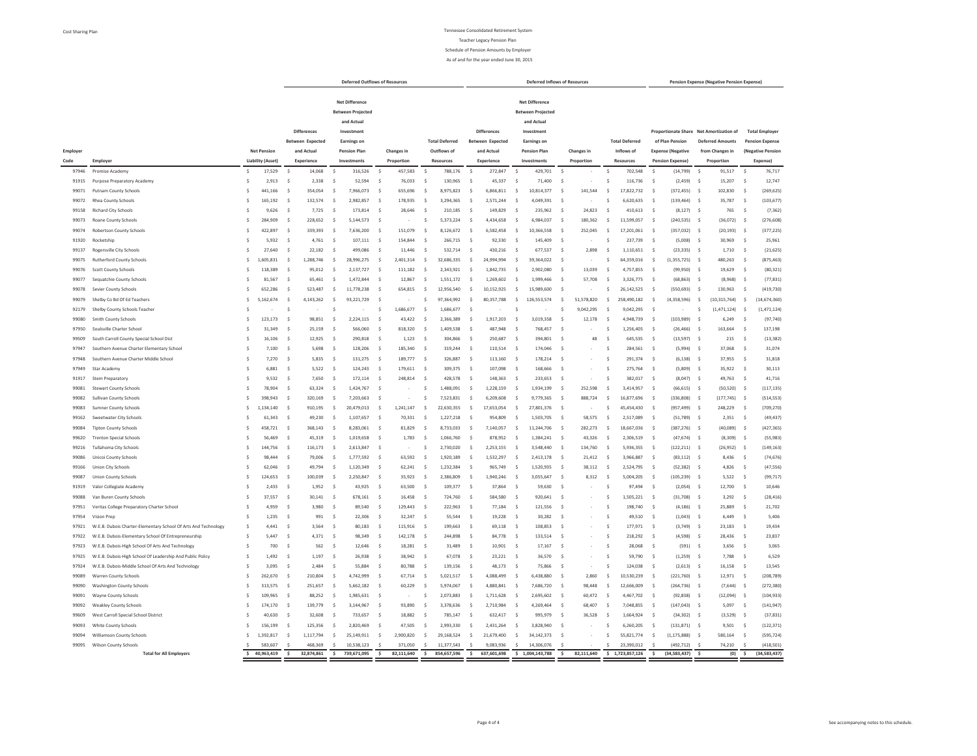#### Teacher Legacy Pension Plan

Schedule of Pension Amounts by Employer

|                |                                                                |        |                         | Deferred Outflows of Resources |                         |                              |                          |              |                  |                         |                        |                         |                         | Deferred Inflows of Resources |                          | <b>Pension Expense (Negative Pension Expense)</b> |                  |                              |                        |                         |                            |            |                            |                          |                        |  |
|----------------|----------------------------------------------------------------|--------|-------------------------|--------------------------------|-------------------------|------------------------------|--------------------------|--------------|------------------|-------------------------|------------------------|-------------------------|-------------------------|-------------------------------|--------------------------|---------------------------------------------------|------------------|------------------------------|------------------------|-------------------------|----------------------------|------------|----------------------------|--------------------------|------------------------|--|
|                |                                                                |        |                         |                                |                         |                              |                          |              |                  |                         |                        |                         |                         |                               |                          |                                                   |                  |                              |                        |                         |                            |            |                            |                          |                        |  |
|                |                                                                |        |                         |                                |                         |                              | <b>Net Difference</b>    |              |                  |                         |                        |                         |                         |                               | <b>Net Difference</b>    |                                                   |                  |                              |                        |                         |                            |            |                            |                          |                        |  |
|                |                                                                |        |                         |                                |                         |                              | <b>Between Projected</b> |              |                  |                         |                        |                         |                         |                               | <b>Between Projected</b> |                                                   |                  |                              |                        |                         |                            |            |                            |                          |                        |  |
|                |                                                                |        |                         |                                |                         |                              | and Actual               |              |                  |                         |                        |                         |                         |                               | and Actual               |                                                   |                  |                              |                        |                         |                            |            |                            |                          |                        |  |
|                |                                                                |        |                         |                                | <b>Differences</b>      |                              | Investment               |              |                  |                         |                        |                         | <b>Differences</b>      |                               | Investment               |                                                   |                  |                              |                        |                         | <b>Proportionate Share</b> |            | <b>Net Amortization of</b> |                          | <b>Total Employer</b>  |  |
|                |                                                                |        |                         |                                | <b>Between Expected</b> |                              | <b>Earnings on</b>       |              |                  |                         | <b>Total Deferred</b>  |                         | <b>Between Expected</b> |                               | Earnings on              |                                                   |                  |                              | <b>Total Deferred</b>  |                         | of Plan Pension            |            | <b>Deferred Amounts</b>    |                          | <b>Pension Expense</b> |  |
| Employe        |                                                                |        | <b>Net Pension</b>      |                                | and Actual              |                              | <b>Pension Plan</b>      |              | Changes in       |                         | Outflows of            |                         | and Actual              |                               | <b>Pension Plar</b>      |                                                   | Changes in       |                              | Inflows of             |                         | <b>Expense (Negative</b>   |            | from Changes in            |                          | (Negative Pension      |  |
|                | Employe                                                        |        | <b>Liability (Asset</b> |                                | Experience              |                              | <b>Investment:</b>       |              | Proportio        |                         | <b>Resources</b>       |                         | Experience              |                               | Investment               |                                                   | Proportion       |                              | Resources              |                         | <b>Pension Expense</b>     |            | Proportion                 |                          | Expense)               |  |
| 97946          | Promise Academy                                                | s      | 17,529                  | <sub>S</sub>                   | 14,068                  | \$.                          | 316,526                  | $\mathsf{S}$ | 457,583          | \$                      | 788,176                | -S                      | 272,847                 | s.                            | 429,701                  | <sub>S</sub>                                      |                  | \$                           | 702,548                | -S                      | (14, 799)                  | s          | 91,517                     | -S                       | 76,717                 |  |
| 91915          | Purpose Preparatory Academy                                    | Ś      | 2.913                   |                                | 2.338                   |                              | 52.594                   | Ś            | 76,033           | Ś                       | 130.965                |                         | 45.337                  |                               | 71.400                   | S                                                 |                  | ś                            | 116,736                | Ś                       | (2.459)                    |            | 15,207                     | <sub>S</sub>             | 12,747                 |  |
| 99071          | Putnam County Schools                                          | Ś      | 441.166                 | <sub>S</sub>                   | 354.054                 | <sup>s</sup>                 | 7.966.073                | Ś            | 655,696          | s                       | 8.975.823              | <sub>S</sub>            | 6.866.811               | <b>S</b>                      | 10.814.37                | -S                                                | 141.544          | S                            | 17.822.732             | <b>S</b>                | (372.455)                  |            | 102.830                    | <sub>S</sub>             | (269, 625)             |  |
| 99072          | Rhea County Schools                                            | Ś      | 165.192                 |                                | 132.574                 |                              | 2.982.857                | Ś            | 178,935          | s                       | 3.294.365              |                         | 2.571.244               |                               | 4.049.391                | s                                                 |                  | S                            | 6.620.635              | Ś                       | (139.464)                  |            | 35.787                     | <sub>S</sub>             | (103, 677)             |  |
| 99158          | Richard City Schools                                           | Ś      | 9,626                   | -S                             | 7,725                   | <sub>S</sub>                 | 173,814                  | <sup>s</sup> | 28,646           | <sub>S</sub>            | 210,185                | -Ś                      | 149,829                 | -Ś                            | 235,962                  | -S                                                | 24,823           | Ś                            | 410,613                | <b>S</b>                | (8, 127)                   | - s        | 765                        | -S                       | (7, 362)               |  |
| 99073          | Roane County Schools                                           | Ś      | 284,909                 | s                              | 228,652                 | <sup>s</sup>                 | 5,144,573                | Ś            |                  | Ś                       | 5,373,224              | -Ś                      | 4.434.658               | <b>S</b>                      | 6,984,037                | s                                                 | 180,362          | <sup>s</sup>                 | 11,599,057             | Ś                       | (240, 535)                 | - S        | (36,072)                   | -S                       | (276, 608)             |  |
| 99074          | <b>Robertson County Schools</b>                                | Ś      | 422.897                 | s                              | 339,393                 | <sup>s</sup>                 | 7,636,200                | Ś            | 151.079          | s                       | 8,126,672              | $\mathsf{s}$            | 6,582,458               | <b>S</b>                      | 10,366,558               | -S                                                | 252,045          | S.                           | 17,201,061             | <sub>S</sub>            | (357, 032)                 | - s        | (20, 193)                  | -S                       | (377, 225)             |  |
| 91920          | Rocketship                                                     | Ś      | 5.932                   | - S                            | 4.761                   | -S                           | 107.111                  | -S           | 154,844          | S                       | 266,715                | $\sim$                  | 92.330                  | -S                            | 145,409                  | -S                                                |                  | .s                           | 237.739                | -S                      | (5.008)                    | - s        | 30.969                     | - S                      | 25.961                 |  |
| 99137          | Rogersville City Schools                                       | ς      | 27.640                  | -S                             | 22.182                  | -S                           | 499,086                  | -S           | 11.446           | <sub>S</sub>            | 532,714                | $\sim$                  | 430.216                 | -S                            | 677.537                  | $\leq$                                            | 2.898            | S,                           | 1.110.651              | - Ś                     | (23.335)                   | - S        | 1.710                      | -Ś                       | (21, 625)              |  |
| 99075          | <b>Rutherford County Schools</b>                               | s.     | 605831                  | $\leq$                         | 1.288.746               | -S                           | 28.996.275               | -S           | 2.401.314        | S.                      | 32.686.335             | $\sim$                  | 24.994.994              | $\leq$                        | 39.364.022               | -S                                                |                  | S                            | 64.359.016             | Ś                       | (1.355.725)                | - 9        | 480,263                    | .s                       | (875, 463)             |  |
| 99076          | <b>Scott County Schools</b>                                    | Ś      | 118.389                 | -S                             | 95.012                  | -S                           | 2.137.727                | Ś            | 111.182          | S                       | 2.343.921              | - S                     | 1.842.735               | -S                            | 2.902.080                | -S                                                | 13,039           | S                            | 4.757.855              | -S                      | (99.950)                   | -S         | 19.629                     | <b>S</b>                 | (80, 321)              |  |
| 99077          | Sequatchie County School:                                      | Ś      | 81.567                  | -S                             | 65.461                  | <sub>S</sub>                 | 1.472.844                | <sup>s</sup> | 12.867           | S                       | 1.551.172              | -Ś                      | 1.269.602               | <b>S</b>                      | 1.999.466                | -S                                                | 57,708           | <sup>s</sup>                 | 3.326.775              | -S                      | (68.863)                   | -S         | (8.968)                    | -Ś                       | (77, 831)              |  |
| 99078          | Sevier County Schools                                          | S      | 652.286                 | -S                             | 523.487                 | <b>S</b>                     | 11.778.238               | <b>S</b>     | 654.815          | Ś                       | 12.956.540             | -Ś                      | 10.152.925              | Ŝ.                            | 15.989.600               | -S                                                |                  | Ś                            | 26.142.525             | <b>S</b>                | (550.693)                  | -S         | 130.963                    | -S                       | (419.730)              |  |
| 99079          | Shelby Co Bd Of Ed Teachers                                    | s      | 162,674                 | $\leq$                         | 4,143,262               | -S                           | 93.221.729               | <b>S</b>     |                  | S                       | 97.364.992             | -Ś                      | 80.357.788              | $\leq$                        | 126 553 574              | -S                                                | 51 578 820       | $\hat{\mathbf{z}}$           | 258.490.182            | Ŝ                       | (4,358,596)                | -S         | (10, 315, 764)             | -\$                      | (14.674.360)           |  |
| 92179          | Shelby County Schools Teacher                                  | S      |                         | $\leq$                         |                         | -S                           |                          | Š,           | 1.686.677        | $\leq$                  | 1.686.677              | $\sim$                  |                         | -S                            |                          | S.                                                | 9.042.295        | -S                           | 9.042.295              | $\leq$                  |                            | -S         | (1.471.124)                | -Ś                       | (1,471,124)            |  |
| 99080          | Smith County Schools                                           | S      | 123.173                 | $\sim$                         | 98.851                  | $\hat{\mathbf{S}}$           | 2.224.115                | <b>S</b>     | 43.422           | $\leq$                  | 2.366.389              | $\leq$                  | 1.917.203               | $\hat{\mathbf{S}}$            | 3.019.358                | $\leq$                                            | 12.178           | <b>S</b>                     | 4.948.739              | $\hat{\varsigma}$       | (103.989)                  | $\sim$     | 6.249                      | -Ś                       | (97.740)               |  |
| 97950          | Soulsville Charter School                                      | ¢      | 31 349                  | $\epsilon$                     | 25,159                  | -S                           | 566,060                  | Ś            | 818.320          | S                       | 1,409,538              | $\ddot{\phantom{1}}$    | 487.948                 | $\epsilon$                    | 768 457                  | ×                                                 |                  | \$                           | 1.256.405              | Ŝ                       | (26, 466)                  |            | 163,664                    | \$                       | 137,198                |  |
| 99509          | South Carroll County Special School Dist                       | Ś      | 16,106                  | $\leq$                         | 12,925                  | <b>S</b>                     | 290.818                  | S            | 1,123            | S                       | 304,866                | -Ś                      | 250.687                 |                               | 394.801                  | S                                                 | 48               | S.                           | 645,535                | Ś                       | (13, 597)                  | -S         | $215\,$                    | -S                       | (13, 382)              |  |
| 97947          | Southern Avenue Charter Elementary School                      | Ś      | 7.100                   | $\hat{\mathbf{S}}$             | 5.698                   | <b>S</b>                     | 128,206                  | Š,           | 185,340          | <sub>S</sub>            | 319,244                | $\leq$                  | 110.514                 | $\ddot{\phantom{1}}$          | 174,046                  | $\epsilon$                                        |                  | Ś                            | 284.561                | <b>S</b>                | (5,994)                    | $\sim$     | 37.068                     | $\mathsf{s}$             | 31,074                 |  |
| 97948          | Southern Avenue Charter Middle School                          | Ś      | 7,270                   | -S                             | 5,835                   | <sub>S</sub>                 | 131,275                  | <sup>s</sup> | 189,777          | S                       | 326,887                | -Ś                      | 113,160                 |                               | 178.214                  | ś                                                 |                  | S                            | 291,374                | Ŝ                       | (6, 138)                   | - s        | 37,955                     | -S                       | 31,818                 |  |
| 97949          | Star Academy                                                   | Ś      | 6.88                    | $\leq$                         | 5,522                   | <b>S</b>                     | 124.243                  | -S           | 179,611          | S                       | 309,375                | $\hat{\mathbf{z}}$      | 107.098                 | $\ddot{\phantom{1}}$          | 168.666                  | $\epsilon$                                        |                  | Ś                            | 275,764                | Ŝ                       | (5,809)                    | -S         | 35,922                     | <b>S</b>                 | 30,113                 |  |
| 91917          | <b>Stem Preparatory</b>                                        | Ś      | 9.532                   | -S                             | 7,650                   | <sup>s</sup>                 | 172,114                  | Ś            | 248,814          | s                       | 428,578                | -Ś                      | 148,363                 |                               | 233,653                  | S.                                                |                  | Ś                            | 382,017                | Ŝ                       | (8,047)                    | -S         | 49,763                     | $\mathsf{s}$             | 41,716                 |  |
| 99081          | <b>Stewart County Schools</b>                                  | Ś      | 78.90                   |                                | 63,324                  | S                            | 1,424,767                |              |                  | S                       | 1,488,091              | \$                      | 1,228,159               |                               | 1,934,199                | S                                                 | 252,598          | Ś                            | 3,414,957              | \$                      | (66, 615)                  |            | (50, 520)                  | -S                       | (117, 135)             |  |
| 99082          | Sullivan County Schools                                        | Ś      |                         | s                              | 320,169                 | Ś                            | 7,203,663                | Ś            |                  | S                       | 7,523,831              | -S                      | 6,209,608               |                               | 9,779,365                | <sub>S</sub>                                      | 888,724          | Ś                            | 16,877,696             | \$                      | (336, 808)                 |            | (177, 745)                 | -S                       | (514, 553)             |  |
| 99083          | Sumner County Schools                                          | Ś      |                         | s                              | 910,195                 | Ś                            | 20,479,013               | \$           | 1,241,147        | Ś                       | 22,630,355             | \$                      | 17,653,054              |                               | 27,801,376               | S                                                 |                  | Ś                            | 45,454,430             | \$                      | (957, 499)                 |            | 248,229                    | \$                       | (709, 270)             |  |
| 99162          | Sweetwater City Schools                                        | Ś      | 61.343                  | -S                             | 49,230                  | .s                           | 1.107.657                | Ś            | 70,331           | S                       | 1,227,218              | -Ś                      | 954.809                 | -Ś                            | 1.503.705                | -S                                                | 58.575           | S                            | 2.517.089              | Ś                       | (51, 789)                  | - S        | 2,351                      | -S                       | (49, 437)              |  |
| 99084          | <b>Tipton County Schools</b>                                   | Ś      | 458.721                 | -S                             | 368,143                 | .s                           | 8.283.061                | Ś            | 81.829           | S                       | 8.733.033              | -Ś                      | 7.140.057               |                               | 11.244.706               | -S                                                | 282,273          | S                            | 18.667.036             | Ś                       | (387, 276)                 | - S        | (40, 089)                  | - S                      | (427, 365)             |  |
| 99620          | <b>Trenton Special Schools</b>                                 |        | 56.46                   | <sub>S</sub>                   | 45,319                  | <sub>S</sub>                 | 1,019,658                | Ś            | 1.783            | s                       | 1,066,760              | -Ś                      | 878.952                 |                               | 1.384.241                | -S                                                | 43,326           | <sup>s</sup>                 | 2.306.519              | Ś                       | (47.674)                   | - s        | (8, 309)                   | -S                       | (55,983)               |  |
| 99216          | <b>Tullahoma City Schools</b>                                  | Š<br>Ś | 144,756<br>98.444       | $\leq$                         | 116.173                 | -S                           | 2.613.847                | S            |                  | S.<br>s                 | 2.730.020              | $\leq$<br>$\mathsf{s}$  | 2.253.155               | -S                            | 3.548.440                | $\leq$                                            | 134,760          | S,                           | 5.936.355<br>3.966.887 | $\hat{\mathbf{z}}$<br>Ś | (122.211)                  | - 9        | (26.952)                   | - S                      | (149, 163)             |  |
| 99086<br>99166 | <b>Unicoi County Schools</b><br><b>Union City Schools</b>      | Ś      | 62.046                  | -S<br>-S                       | 79,006<br>49,794        | <sup>s</sup><br><sub>S</sub> | 1,777,592<br>1,120,349   | Ś<br>Ś       | 63,592<br>62.241 | s                       | 1,920,189<br>1,232,384 | -S                      | 1,532,297<br>965.749    | -Ś                            | 2,413,178<br>1.520.935   | -S<br>S                                           | 21,412<br>38,112 | <sup>s</sup><br><sup>s</sup> | 2.524.795              |                         | (83, 112)<br>(52, 382)     | - S<br>- S | 8,436<br>4,826             | \$<br>-S                 | (74, 676)<br>(47, 556) |  |
| 99087          |                                                                | s.     |                         |                                | 100.039                 | -S                           | 2.250.847                | -S           | 35.923           | s                       | 2.386.809              | $\sim$                  |                         | -S.                           | 3.055.647                |                                                   | 8.312            | -S                           | 5.004.205              |                         | (105.239)                  | - S        | 5.522                      |                          | (99, 717)              |  |
| 91919          | <b>Union County Schools</b><br>Valor Collegiate Academy        | Ś      | 124,653<br>2.433        | -S<br>-S                       | 1.952                   | -S                           | 43.925                   | -S           | 63,500           | S                       | 109.377                | $\sim$                  | 1.940.246<br>37,864     | -S                            | 59.630                   | -S<br>-S                                          |                  | -S                           | 97.494                 | - Ś<br>-S               | (2.054)                    | - S        | 12.700                     | - S<br>- S               | 10.646                 |  |
| 99088          | Van Buren County Schools                                       | S      | 37.557                  | - S                            | 30.141                  | -9                           | 678.161                  | -S           | 16,458           | -S                      | 724,760                | $\sim$                  | 584,580                 | -S                            | 920.643                  | -S                                                |                  | $\hat{\mathbf{z}}$           | 1.505.221              | - Ś                     | (31.708)                   | - S        | 3.292                      | -Ś                       | (28, 416)              |  |
| 97951          | Veritas College Preparatory Charter School                     | S      | 4.959                   | $\leq$                         | 3.980                   | $\hat{\mathbf{S}}$           | 89.540                   | <b>S</b>     | 129.443          | $\leq$                  | 222.963                | $\leq$                  | 77.184                  | $\hat{\mathbf{S}}$            | 121.556                  | S.                                                |                  | S                            | 198,740                | $\leq$                  | (4.186)                    | $\sim$     | 25.889                     | $\leq$                   | 21,702                 |  |
| 97954          | Vision Prep                                                    | Ś      | 1.235                   | -S                             | 991                     | <sup>s</sup>                 | 22.306                   | Ś            | 32.247           | -S                      | 55.544                 | $\sim$                  | 19.228                  | $\ddot{\phantom{1}}$          | 30.282                   | ś                                                 |                  | <b>S</b>                     | 49.510                 | - Ś                     | (1.043)                    | - s        | 6.449                      | -Ś                       | 5,406                  |  |
| 97921          | W.E.B. Dubois Charter-Elementary School Of Arts And Technology | s      | 4.441                   | - S                            | 3.564                   | <sup>s</sup>                 | 80.183                   | <b>S</b>     | 115,916          | <sub>S</sub>            | 199.663                | -Ś                      | 69.118                  | <b>S</b>                      | 108.853                  | -S                                                |                  | <sub>S</sub>                 | 177.971                | - Ś                     | (3.749)                    | - s        | 23.183                     | -Ś                       | 19.434                 |  |
| 97922          | W.E.B. Dubois-Elementary School Of Entrepreneurship            | Š      | 5.447                   | $\hat{\mathbf{S}}$             | 4.371                   | S.                           | 98.349                   | Š,           | 142.178          | s                       | 244.898                | $\leq$                  | 84.778                  | $\hat{\mathbf{S}}$            | 133.514                  | S.                                                |                  | Ś                            | 218.292                | <b>S</b>                | (4.598)                    |            | 28.436                     | \$                       | 23,837                 |  |
| 97923          | W.E.B. Dubois-High School Of Arts And Technology               | S      | 700                     | $\leq$                         | 562                     | $\hat{\mathbf{S}}$           | 12.646                   | S            | 18.28            | $\leq$                  | 31.489                 | $\sim$                  | 10.901                  | -S                            | 17.167                   | $\leq$                                            |                  | S                            | 28,068                 | $\hat{\mathbf{z}}$      | (591)                      | $\sim$     | 3.656                      | -Ś                       | 3.065                  |  |
| 97925          | W.E.B. Dubois-High School Of Leadership And Public Policy      | ς      | 1.492                   | $\leq$                         | 1.197                   | S,                           | 26.938                   | Š,           | 38.942           | $\leq$                  | 67.078                 | $\sim$                  | 23.221                  | -S                            | 36.570                   | S.                                                |                  | Š,                           | 59,790                 | $\leq$                  | (1.259)                    | - 9        | 7.788                      | $\leq$                   | 6.529                  |  |
| 97924          | W.E.B. Dubois-Middle School Of Arts And Technology             | Ś      | 3.095                   | $\leq$                         | 2.484                   | S,                           | 55.884                   | Ś            | 80,788           | S                       | 139,156                | -Ś                      | 48,173                  | -S                            | 75.866                   | S.                                                |                  | Ś                            | 124,038                | Ś                       | (2, 613)                   | -S         | 16,158                     | $\mathsf{s}$             | 13,545                 |  |
| 99089          | Warren County Schools                                          | \$     | 262.670                 | $\leq$                         | 210,804                 | -S                           | 4,742,999                | Š,           | 67,71            | S                       | 5,021,517              | $\leq$                  | 4.088.499               |                               | 6.438.880                | <b>A</b>                                          | 2.860            | \$                           | 10.530.239             | S.                      | (221,760)                  |            | 12,971                     | \$                       | (208, 789)             |  |
| 99090          | <b>Washington County Schools</b>                               | Ś      | 313.575                 | s                              | 251,657                 | S,                           | 5,662,182                | ×,           | 60,229           | s                       | 5,974,067              | -Ś                      | 4.880.841               | $\hat{\mathbf{S}}$            | 7,686,720                | -S                                                | 98.448           | \$                           | 12.666.009             | Ś                       | (264, 736)                 | -S         | (7,644)                    | -S                       | (272, 380)             |  |
| 99091          | Wayne County Schools                                           | Ś      | 109,96                  | $\hat{\mathbf{S}}$             | 88,252                  | S.                           | 1,985,631                | Ś            |                  | Ś                       | 2,073,883              | <sub>S</sub>            | 1,711,628               |                               | 2,695,602                | S                                                 | 60,472           | ś                            | 4,467,702              | \$                      | (92, 838)                  |            | (12,094)                   | \$                       | (104, 933)             |  |
| 99092          | <b>Weakley County Schools</b>                                  | Ś      | 174.170                 | -S                             | 139,779                 | <sup>s</sup>                 | 3,144,967                | -S           | 93,890           | S                       | 3,378,636              | -S                      | 2,710,984               | $\hat{\mathbf{S}}$            | 4,269,464                | S                                                 | 68,407           | S                            | 7,048,855              | \$                      | (147, 043)                 |            | 5,097                      | \$                       | (141, 947)             |  |
| 99609          | West Carroll Special School District                           | Ś      | 40.630                  | $\leq$                         | 32,608                  |                              | 733,657                  | Ś            | 18,882           | S                       | 785,147                | -S                      | 632,417                 |                               | 995.979                  | S                                                 | 36,528           | S                            | 1.664.924              | Ś                       | (34, 302)                  |            | (3,529)                    | <sub>S</sub>             | (37, 831)              |  |
| 99093          | White County Schools                                           |        | 156.199                 | s                              | 125,356                 | <sup>s</sup>                 | 2.820.469                | Ś            | 47.505           | s                       | 2,993,330              | <sub>S</sub>            | 2.431.264               |                               | 3.828.940                | -S                                                |                  | S                            | 6.260.205              | Ś                       | (131.871)                  |            | 9.501                      | -Ś                       | (122, 371)             |  |
| 99094          | Williamson County Schools                                      | Ś      | 1,392,817               | S                              | 1,117,794               | \$                           | 25,149,911               | \$           | 2,900,820        | Ś                       | 29,168,524             | \$                      | 21,679,400              |                               | 34, 142, 373             |                                                   |                  | Ś                            | 55,821,774             | \$                      | (1, 175, 888)              |            | 580,164                    | \$                       | (595, 724)             |  |
| 99095          | Wilson County Schools                                          |        | 583,607                 |                                | 468.369                 |                              | 10,538,123               |              | 371,050          | Ś                       | 11,377,543             |                         | 9.083.936               |                               | 14,306,076               |                                                   |                  | S                            | 23,390,012             | Ś                       | (492, 712)                 |            | 74,210                     |                          | (418, 501)             |  |
|                | <b>Total for All Employers</b>                                 | s.     | 40,963,419              | s.                             | 32,874,861              | Ŝ.                           | 739,671,095              | \$.          | 82.111.640       | $\overline{\mathsf{s}}$ | 854,657,596            | $\overline{\mathsf{s}}$ | 637,601,698             |                               | \$1,004,143,788          | s.                                                | 82,111,640       |                              | \$1,723,857,126        | $\overline{\mathsf{s}}$ | (34,583,437)               | s.         | (0)                        | $\overline{\phantom{a}}$ | (34, 583, 437)         |  |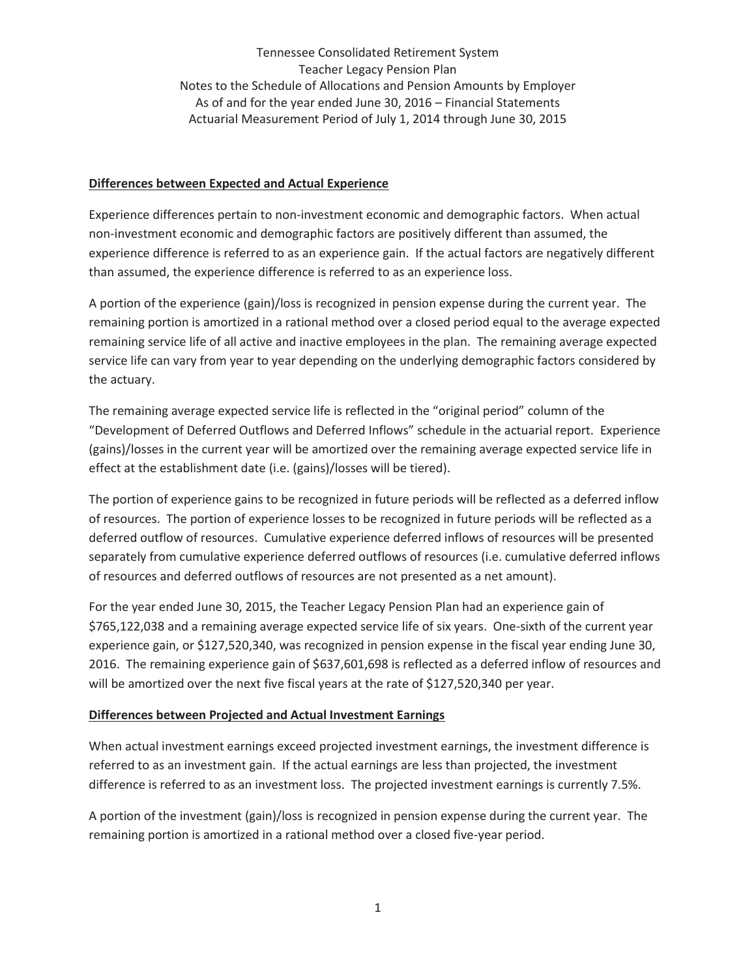Tennessee Consolidated Retirement System Teacher Legacy Pension Plan Notes to the Schedule of Allocations and Pension Amounts by Employer As of and for the year ended June 30, 2016 – Financial Statements Actuarial Measurement Period of July 1, 2014 through June 30, 2015

### **Differences between Expected and Actual Experience**

Experience differences pertain to non-investment economic and demographic factors. When actual non-investment economic and demographic factors are positively different than assumed, the experience difference is referred to as an experience gain. If the actual factors are negatively different than assumed, the experience difference is referred to as an experience loss.

A portion of the experience (gain)/loss is recognized in pension expense during the current year. The remaining portion is amortized in a rational method over a closed period equal to the average expected remaining service life of all active and inactive employees in the plan. The remaining average expected service life can vary from year to year depending on the underlying demographic factors considered by the actuary.

The remaining average expected service life is reflected in the "original period" column of the "Development of Deferred Outflows and Deferred Inflows" schedule in the actuarial report. Experience (gains)/losses in the current year will be amortized over the remaining average expected service life in effect at the establishment date (i.e. (gains)/losses will be tiered).

The portion of experience gains to be recognized in future periods will be reflected as a deferred inflow of resources. The portion of experience losses to be recognized in future periods will be reflected as a deferred outflow of resources. Cumulative experience deferred inflows of resources will be presented separately from cumulative experience deferred outflows of resources (i.e. cumulative deferred inflows of resources and deferred outflows of resources are not presented as a net amount).

For the year ended June 30, 2015, the Teacher Legacy Pension Plan had an experience gain of \$765,122,038 and a remaining average expected service life of six years. One-sixth of the current year experience gain, or \$127,520,340, was recognized in pension expense in the fiscal year ending June 30, 2016. The remaining experience gain of \$637,601,698 is reflected as a deferred inflow of resources and will be amortized over the next five fiscal years at the rate of \$127,520,340 per year.

## **Differences between Projected and Actual Investment Earnings**

When actual investment earnings exceed projected investment earnings, the investment difference is referred to as an investment gain. If the actual earnings are less than projected, the investment difference is referred to as an investment loss. The projected investment earnings is currently 7.5%.

A portion of the investment (gain)/loss is recognized in pension expense during the current year. The remaining portion is amortized in a rational method over a closed five-year period.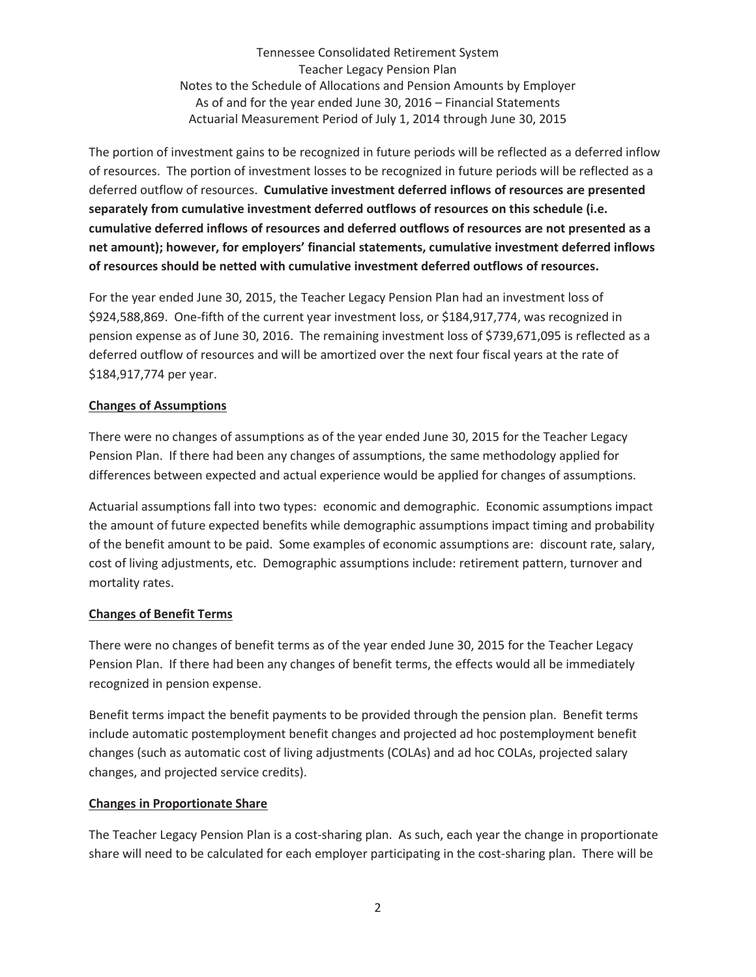Tennessee Consolidated Retirement System Teacher Legacy Pension Plan Notes to the Schedule of Allocations and Pension Amounts by Employer As of and for the year ended June 30, 2016 – Financial Statements Actuarial Measurement Period of July 1, 2014 through June 30, 2015

The portion of investment gains to be recognized in future periods will be reflected as a deferred inflow of resources. The portion of investment losses to be recognized in future periods will be reflected as a deferred outflow of resources. **Cumulative investment deferred inflows of resources are presented separately from cumulative investment deferred outflows of resources on this schedule (i.e. cumulative deferred inflows of resources and deferred outflows of resources are not presented as a net amount); however, for employers' financial statements, cumulative investment deferred inflows of resources should be netted with cumulative investment deferred outflows of resources.**

For the year ended June 30, 2015, the Teacher Legacy Pension Plan had an investment loss of \$924,588,869. One-fifth of the current year investment loss, or \$184,917,774, was recognized in pension expense as of June 30, 2016. The remaining investment loss of \$739,671,095 is reflected as a deferred outflow of resources and will be amortized over the next four fiscal years at the rate of \$184,917,774 per year.

### **Changes of Assumptions**

There were no changes of assumptions as of the year ended June 30, 2015 for the Teacher Legacy Pension Plan. If there had been any changes of assumptions, the same methodology applied for differences between expected and actual experience would be applied for changes of assumptions.

Actuarial assumptions fall into two types: economic and demographic. Economic assumptions impact the amount of future expected benefits while demographic assumptions impact timing and probability of the benefit amount to be paid. Some examples of economic assumptions are: discount rate, salary, cost of living adjustments, etc. Demographic assumptions include: retirement pattern, turnover and mortality rates.

### **Changes of Benefit Terms**

There were no changes of benefit terms as of the year ended June 30, 2015 for the Teacher Legacy Pension Plan. If there had been any changes of benefit terms, the effects would all be immediately recognized in pension expense.

Benefit terms impact the benefit payments to be provided through the pension plan. Benefit terms include automatic postemployment benefit changes and projected ad hoc postemployment benefit changes (such as automatic cost of living adjustments (COLAs) and ad hoc COLAs, projected salary changes, and projected service credits).

### **Changes in Proportionate Share**

The Teacher Legacy Pension Plan is a cost-sharing plan. As such, each year the change in proportionate share will need to be calculated for each employer participating in the cost-sharing plan. There will be